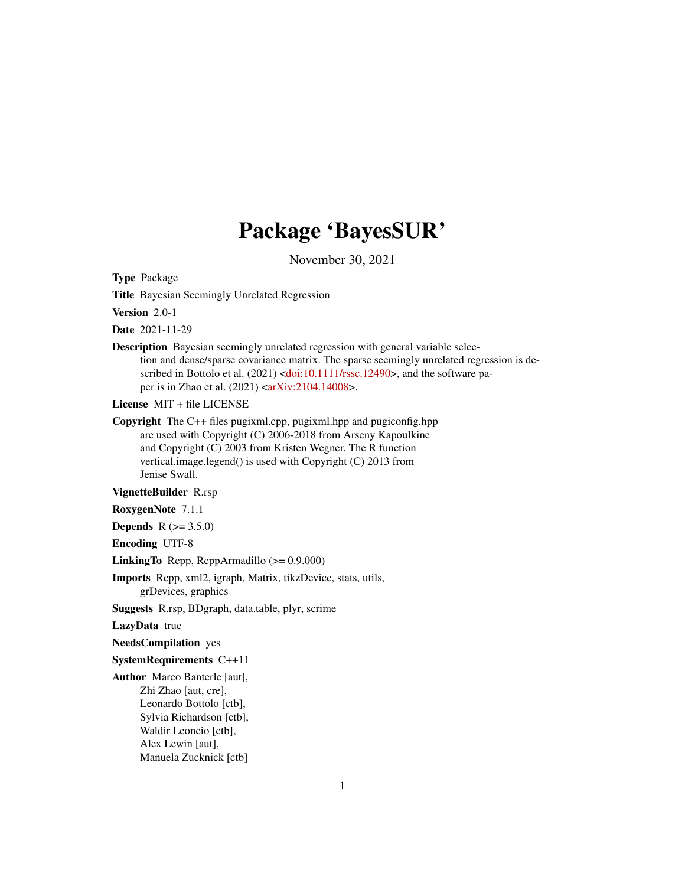# Package 'BayesSUR'

November 30, 2021

Type Package

Title Bayesian Seemingly Unrelated Regression

Version 2.0-1

Date 2021-11-29

Description Bayesian seemingly unrelated regression with general variable selection and dense/sparse covariance matrix. The sparse seemingly unrelated regression is de-scribed in Bottolo et al. (2021) [<doi:10.1111/rssc.12490>](https://doi.org/10.1111/rssc.12490), and the software paper is in Zhao et al. (2021) [<arXiv:2104.14008>](https://arxiv.org/abs/2104.14008).

License MIT + file LICENSE

Copyright The C++ files pugixml.cpp, pugixml.hpp and pugiconfig.hpp are used with Copyright (C) 2006-2018 from Arseny Kapoulkine and Copyright (C) 2003 from Kristen Wegner. The R function vertical.image.legend() is used with Copyright (C) 2013 from Jenise Swall.

VignetteBuilder R.rsp

RoxygenNote 7.1.1

**Depends** R  $(>= 3.5.0)$ 

Encoding UTF-8

LinkingTo Rcpp, RcppArmadillo (>= 0.9.000)

Imports Rcpp, xml2, igraph, Matrix, tikzDevice, stats, utils, grDevices, graphics

Suggests R.rsp, BDgraph, data.table, plyr, scrime

LazyData true

NeedsCompilation yes

SystemRequirements C++11

Author Marco Banterle [aut], Zhi Zhao [aut, cre], Leonardo Bottolo [ctb], Sylvia Richardson [ctb], Waldir Leoncio [ctb], Alex Lewin [aut], Manuela Zucknick [ctb]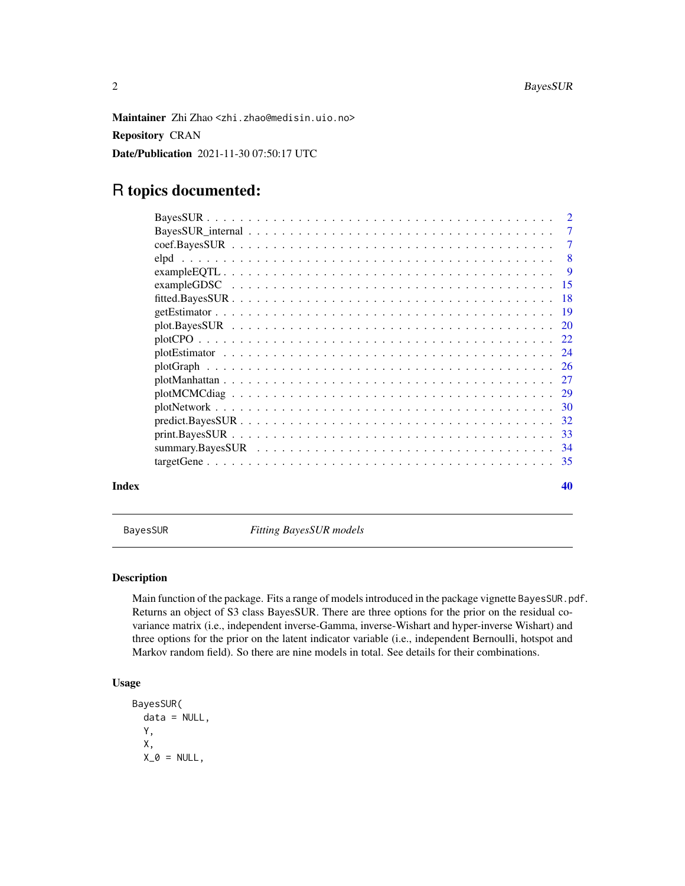<span id="page-1-0"></span>Maintainer Zhi Zhao <zhi.zhao@medisin.uio.no> Repository CRAN Date/Publication 2021-11-30 07:50:17 UTC

# R topics documented:

| Index | 40 |
|-------|----|

BayesSUR *Fitting BayesSUR models*

# Description

Main function of the package. Fits a range of models introduced in the package vignette BayesSUR.pdf. Returns an object of S3 class BayesSUR. There are three options for the prior on the residual covariance matrix (i.e., independent inverse-Gamma, inverse-Wishart and hyper-inverse Wishart) and three options for the prior on the latent indicator variable (i.e., independent Bernoulli, hotspot and Markov random field). So there are nine models in total. See details for their combinations.

# Usage

```
BayesSUR(
  data = NULL,
  Y,
  X,
  X_0 = NULL,
```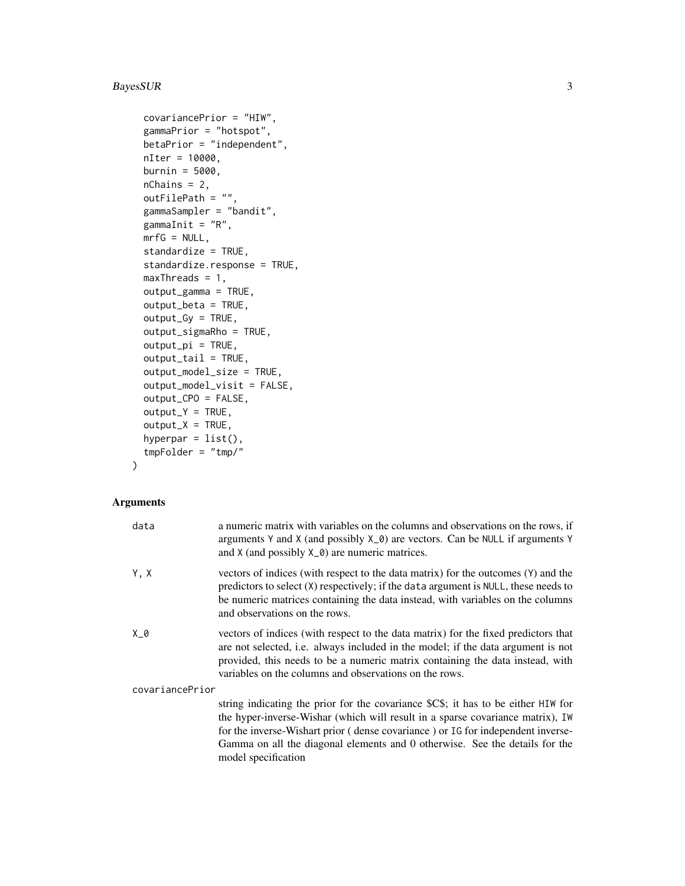# BayesSUR 3

```
covariancePrior = "HIW",
gammaPrior = "hotspot",
betaPrior = "independent",
nIter = 10000,
burnin = 5000,
nChains = 2,outFilePath = ",
gammaSampler = "bandit",
gammaInit = "R",mrfG = NULL,standardize = TRUE,
standardize.response = TRUE,
maxThreads = 1,
output_gamma = TRUE,
output_beta = TRUE,
output_Gy = TRUE,
output_sigmaRho = TRUE,
output_pi = TRUE,
output_tail = TRUE,
output_model_size = TRUE,
output_model_visit = FALSE,
output_CPO = FALSE,
output_Y = TRUE,output_X = TRUE,hyperpar = list(),
tmpFolder = "tmp/"
```
 $\mathcal{L}$ 

# Arguments

| data            | a numeric matrix with variables on the columns and observations on the rows, if<br>arguments Y and X (and possibly $X_0$ ) are vectors. Can be NULL if arguments Y<br>and $X$ (and possibly $X_0$ ) are numeric matrices.                                                                                                                                    |
|-----------------|--------------------------------------------------------------------------------------------------------------------------------------------------------------------------------------------------------------------------------------------------------------------------------------------------------------------------------------------------------------|
| Y, X            | vectors of indices (with respect to the data matrix) for the outcomes (Y) and the<br>predictors to select (X) respectively; if the data argument is NULL, these needs to<br>be numeric matrices containing the data instead, with variables on the columns<br>and observations on the rows.                                                                  |
| X_0             | vectors of indices (with respect to the data matrix) for the fixed predictors that<br>are not selected, i.e. always included in the model; if the data argument is not<br>provided, this needs to be a numeric matrix containing the data instead, with<br>variables on the columns and observations on the rows.                                            |
| covariancePrior |                                                                                                                                                                                                                                                                                                                                                              |
|                 | string indicating the prior for the covariance \$C\$; it has to be either HIW for<br>the hyper-inverse-Wishar (which will result in a sparse covariance matrix), IW<br>for the inverse-Wishart prior (dense covariance) or IG for independent inverse-<br>Gamma on all the diagonal elements and 0 otherwise. See the details for the<br>model specification |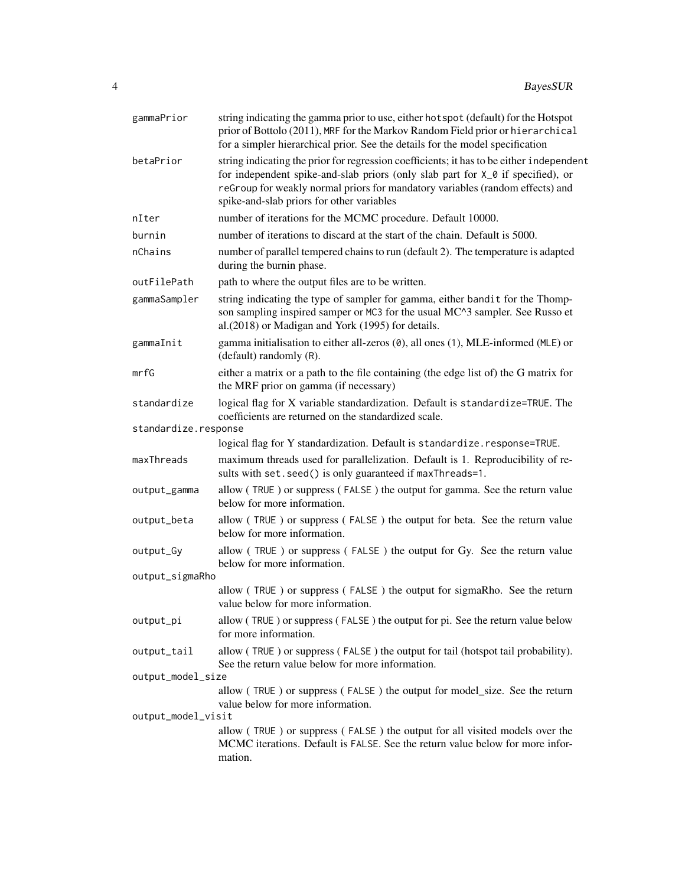| gammaPrior           | string indicating the gamma prior to use, either hot spot (default) for the Hotspot<br>prior of Bottolo (2011), MRF for the Markov Random Field prior or hierarchical<br>for a simpler hierarchical prior. See the details for the model specification                                                    |  |
|----------------------|-----------------------------------------------------------------------------------------------------------------------------------------------------------------------------------------------------------------------------------------------------------------------------------------------------------|--|
| betaPrior            | string indicating the prior for regression coefficients; it has to be either independent<br>for independent spike-and-slab priors (only slab part for X_0 if specified), or<br>reGroup for weakly normal priors for mandatory variables (random effects) and<br>spike-and-slab priors for other variables |  |
| nIter                | number of iterations for the MCMC procedure. Default 10000.                                                                                                                                                                                                                                               |  |
| burnin               | number of iterations to discard at the start of the chain. Default is 5000.                                                                                                                                                                                                                               |  |
| nChains              | number of parallel tempered chains to run (default 2). The temperature is adapted<br>during the burnin phase.                                                                                                                                                                                             |  |
| outFilePath          | path to where the output files are to be written.                                                                                                                                                                                                                                                         |  |
| gammaSampler         | string indicating the type of sampler for gamma, either bandit for the Thomp-<br>son sampling inspired samper or MC3 for the usual MC^3 sampler. See Russo et<br>al.(2018) or Madigan and York (1995) for details.                                                                                        |  |
| gammaInit            | gamma initialisation to either all-zeros (0), all ones (1), MLE-informed (MLE) or<br>(default) randomly (R).                                                                                                                                                                                              |  |
| mrfG                 | either a matrix or a path to the file containing (the edge list of) the G matrix for<br>the MRF prior on gamma (if necessary)                                                                                                                                                                             |  |
| standardize          | logical flag for X variable standardization. Default is standardize=TRUE. The<br>coefficients are returned on the standardized scale.                                                                                                                                                                     |  |
| standardize.response |                                                                                                                                                                                                                                                                                                           |  |
|                      | logical flag for Y standardization. Default is standardize.response=TRUE.                                                                                                                                                                                                                                 |  |
| maxThreads           | maximum threads used for parallelization. Default is 1. Reproducibility of re-<br>sults with set. seed() is only guaranteed if maxThreads=1.                                                                                                                                                              |  |
| output_gamma         | allow (TRUE) or suppress (FALSE) the output for gamma. See the return value<br>below for more information.                                                                                                                                                                                                |  |
| output_beta          | allow (TRUE) or suppress (FALSE) the output for beta. See the return value<br>below for more information.                                                                                                                                                                                                 |  |
| output_Gy            | allow (TRUE) or suppress (FALSE) the output for Gy. See the return value<br>below for more information.                                                                                                                                                                                                   |  |
| output_sigmaRho      |                                                                                                                                                                                                                                                                                                           |  |
|                      | allow (TRUE) or suppress (FALSE) the output for sigmaRho. See the return<br>value below for more information.                                                                                                                                                                                             |  |
| output_pi            | allow (TRUE) or suppress (FALSE) the output for pi. See the return value below<br>for more information.                                                                                                                                                                                                   |  |
| output_tail          | allow (TRUE) or suppress (FALSE) the output for tail (hotspot tail probability).<br>See the return value below for more information.                                                                                                                                                                      |  |
| output_model_size    |                                                                                                                                                                                                                                                                                                           |  |
| output_model_visit   | allow (TRUE) or suppress (FALSE) the output for model_size. See the return<br>value below for more information.                                                                                                                                                                                           |  |
|                      | allow (TRUE) or suppress (FALSE) the output for all visited models over the                                                                                                                                                                                                                               |  |
|                      | MCMC iterations. Default is FALSE. See the return value below for more infor-<br>mation.                                                                                                                                                                                                                  |  |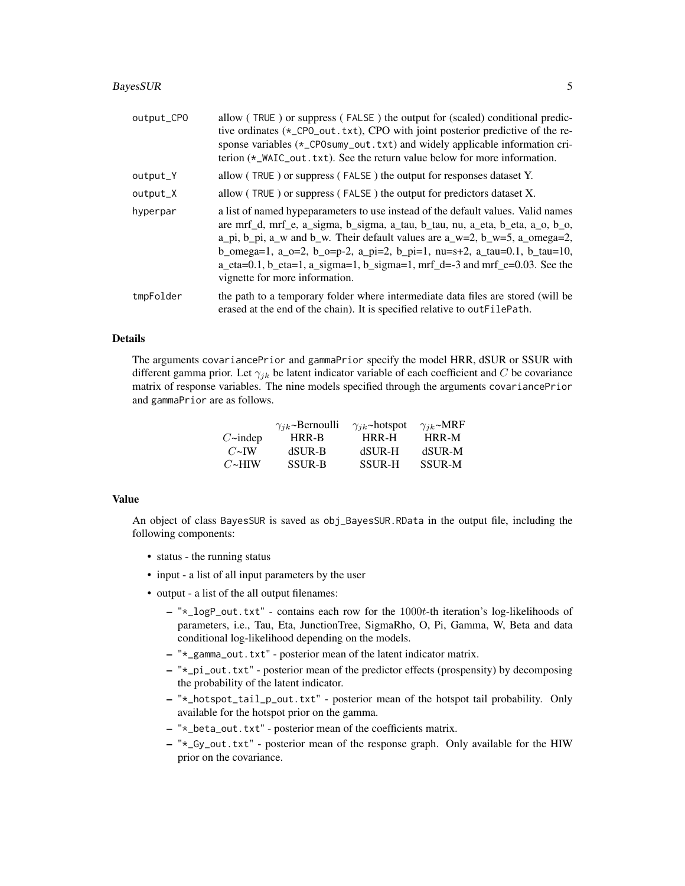#### BayesSUR 5

| output_CPO | allow (TRUE) or suppress (FALSE) the output for (scaled) conditional predic-<br>tive ordinates (*_CPO_out.txt), CPO with joint posterior predictive of the re-<br>sponse variables (*_CPOsumy_out.txt) and widely applicable information cri-<br>terion (*_WAIC_out.txt). See the return value below for more information.                                                                                                                                                                                                         |
|------------|------------------------------------------------------------------------------------------------------------------------------------------------------------------------------------------------------------------------------------------------------------------------------------------------------------------------------------------------------------------------------------------------------------------------------------------------------------------------------------------------------------------------------------|
| output_Y   | allow (TRUE) or suppress (FALSE) the output for responses dataset Y.                                                                                                                                                                                                                                                                                                                                                                                                                                                               |
| output_X   | allow (TRUE) or suppress (FALSE) the output for predictors dataset X.                                                                                                                                                                                                                                                                                                                                                                                                                                                              |
| hyperpar   | a list of named hypeparameters to use instead of the default values. Valid names<br>are mrf_d, mrf_e, a_sigma, b_sigma, a_tau, b_tau, nu, a_eta, b_eta, a_o, b_o,<br>a_pi, b_pi, a_w and b_w. Their default values are a_w=2, b_w=5, a_omega=2,<br>b_omega=1, a_o=2, b_o=p-2, a_pi=2, b_pi=1, nu=s+2, a_tau=0.1, b_tau=10,<br>$a_{\text{at}} = 0.1$ , b $_{\text{at}} = 1$ , a $_{\text{sigma}} = 1$ , b $_{\text{sigma}} = 1$ , mrf $_{\text{at}} = -3$ and mrf $_{\text{at}} = 0.03$ . See the<br>vignette for more information. |
| tmpFolder  | the path to a temporary folder where intermediate data files are stored (will be<br>erased at the end of the chain). It is specified relative to outFilePath.                                                                                                                                                                                                                                                                                                                                                                      |

# Details

The arguments covariancePrior and gammaPrior specify the model HRR, dSUR or SSUR with different gamma prior. Let  $\gamma_{jk}$  be latent indicator variable of each coefficient and C be covariance matrix of response variables. The nine models specified through the arguments covariancePrior and gammaPrior are as follows.

|                      | $\gamma_{ik}$ ~Bernoulli | $\gamma_{ik}$ ~hotspot | $\gamma_{ik}$ ~MRF |
|----------------------|--------------------------|------------------------|--------------------|
| $C\rightarrow$ indep | HRR-B                    | HRR-H                  | HRR-M              |
| $C\simeq$ IW         | dSUR-B                   | dSUR-H                 | dSUR-M             |
| $C\rightarrow$ HIW   | <b>SSUR-B</b>            | <b>SSUR-H</b>          | <b>SSUR-M</b>      |

#### Value

An object of class BayesSUR is saved as obj\_BayesSUR.RData in the output file, including the following components:

- status the running status
- input a list of all input parameters by the user
- output a list of the all output filenames:
	- $-$  " $\star$ \_logP\_out.txt" contains each row for the 1000t-th iteration's log-likelihoods of parameters, i.e., Tau, Eta, JunctionTree, SigmaRho, O, Pi, Gamma, W, Beta and data conditional log-likelihood depending on the models.
	- "\*\_gamma\_out.txt" posterior mean of the latent indicator matrix.
	- "\*\_pi\_out.txt" posterior mean of the predictor effects (prospensity) by decomposing the probability of the latent indicator.
	- "\*\_hotspot\_tail\_p\_out.txt" posterior mean of the hotspot tail probability. Only available for the hotspot prior on the gamma.
	- "\*\_beta\_out.txt" posterior mean of the coefficients matrix.
	- "\*\_Gy\_out.txt" posterior mean of the response graph. Only available for the HIW prior on the covariance.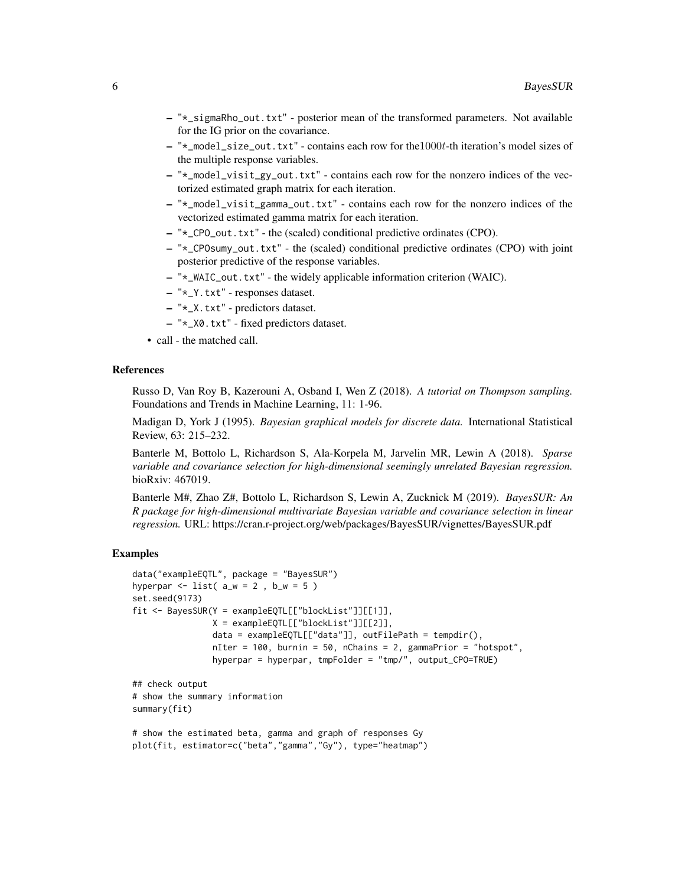- "\*\_sigmaRho\_out.txt" posterior mean of the transformed parameters. Not available for the IG prior on the covariance.
- "\*\_model\_size\_out.txt" contains each row for the1000t-th iteration's model sizes of the multiple response variables.
- "\*\_model\_visit\_gy\_out.txt" contains each row for the nonzero indices of the vectorized estimated graph matrix for each iteration.
- "\*\_model\_visit\_gamma\_out.txt" contains each row for the nonzero indices of the vectorized estimated gamma matrix for each iteration.
- "\*\_CPO\_out.txt" the (scaled) conditional predictive ordinates (CPO).
- "\*\_CPOsumy\_out.txt" the (scaled) conditional predictive ordinates (CPO) with joint posterior predictive of the response variables.
- "\*\_WAIC\_out.txt" the widely applicable information criterion (WAIC).
- "\*\_Y.txt" responses dataset.
- "\*\_X.txt" predictors dataset.
- "\*\_X0.txt" fixed predictors dataset.
- call the matched call.

#### References

Russo D, Van Roy B, Kazerouni A, Osband I, Wen Z (2018). *A tutorial on Thompson sampling.* Foundations and Trends in Machine Learning, 11: 1-96.

Madigan D, York J (1995). *Bayesian graphical models for discrete data.* International Statistical Review, 63: 215–232.

Banterle M, Bottolo L, Richardson S, Ala-Korpela M, Jarvelin MR, Lewin A (2018). *Sparse variable and covariance selection for high-dimensional seemingly unrelated Bayesian regression.* bioRxiv: 467019.

Banterle M#, Zhao Z#, Bottolo L, Richardson S, Lewin A, Zucknick M (2019). *BayesSUR: An R package for high-dimensional multivariate Bayesian variable and covariance selection in linear regression.* URL: https://cran.r-project.org/web/packages/BayesSUR/vignettes/BayesSUR.pdf

```
data("exampleEQTL", package = "BayesSUR")
hyperpar \le list( a_w = 2, b_w = 5)
set.seed(9173)
fit <- BayesSUR(Y = exampleEQTL[["blockList"]][[1]],
                X = exampleEQTL[["blockList"]][[2]],
                data = exampleEQTL[["data"], outFilePath = tempdir(),
                nIter = 100, burnin = 50, nChains = 2, gammaPrior = "hotspot",
                hyperpar = hyperpar, tmpFolder = "tmp/", output_CPO=TRUE)
## check output
# show the summary information
summary(fit)
# show the estimated beta, gamma and graph of responses Gy
plot(fit, estimator=c("beta","gamma","Gy"), type="heatmap")
```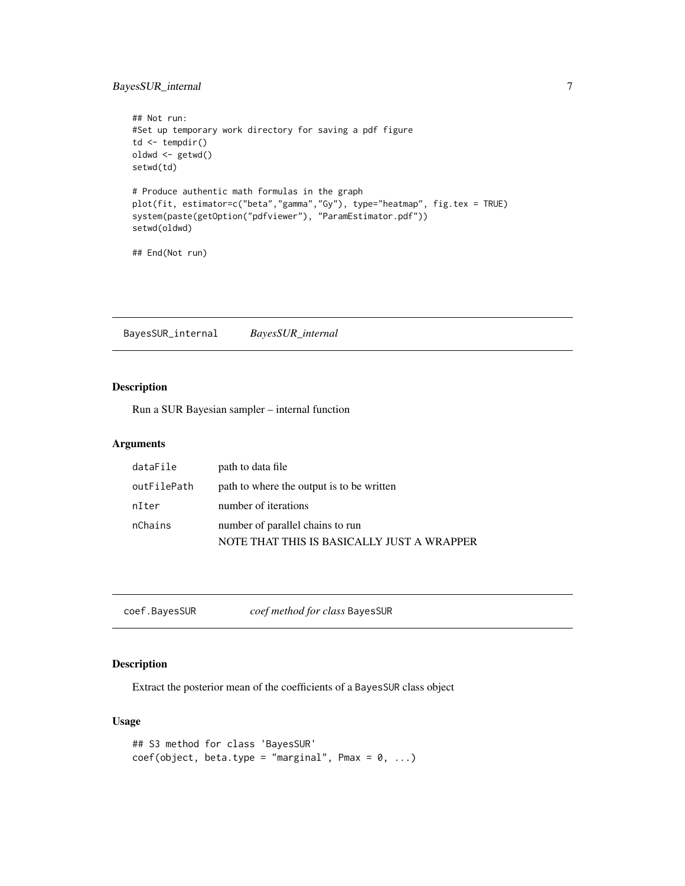# <span id="page-6-0"></span>BayesSUR\_internal 7

```
## Not run:
#Set up temporary work directory for saving a pdf figure
td <- tempdir()
oldwd <- getwd()
setwd(td)
# Produce authentic math formulas in the graph
plot(fit, estimator=c("beta","gamma","Gy"), type="heatmap", fig.tex = TRUE)
system(paste(getOption("pdfviewer"), "ParamEstimator.pdf"))
setwd(oldwd)
```

```
## End(Not run)
```
BayesSUR\_internal *BayesSUR\_internal*

# Description

Run a SUR Bayesian sampler – internal function

# Arguments

| dataFile    | path to data file                          |
|-------------|--------------------------------------------|
| outFilePath | path to where the output is to be written  |
| nIter       | number of iterations                       |
| nChains     | number of parallel chains to run           |
|             | NOTE THAT THIS IS BASICALLY JUST A WRAPPER |

coef.BayesSUR *coef method for class* BayesSUR

# Description

Extract the posterior mean of the coefficients of a BayesSUR class object

# Usage

```
## S3 method for class 'BayesSUR'
coef(object, beta_type = "marginal", Pmax = 0, ...)
```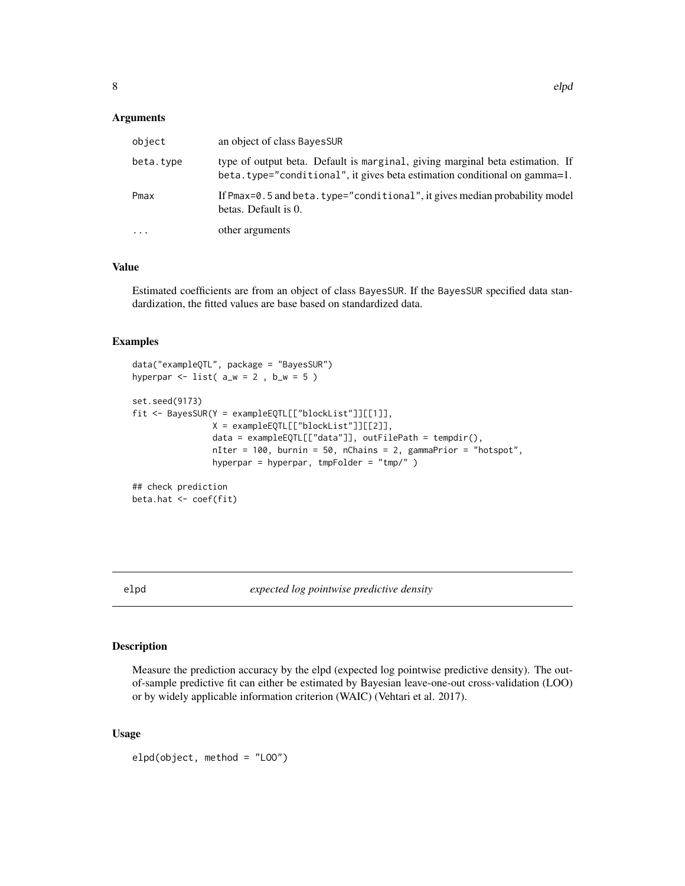#### <span id="page-7-0"></span>Arguments

| object     | an object of class BayesSUR                                                                                                                                |
|------------|------------------------------------------------------------------------------------------------------------------------------------------------------------|
| beta.type  | type of output beta. Default is marginal, giving marginal beta estimation. If<br>beta.type="conditional", it gives beta estimation conditional on gamma=1. |
| Pmax       | If Pmax=0.5 and beta.type="conditional", it gives median probability model<br>betas. Default is 0.                                                         |
| $\ddots$ . | other arguments                                                                                                                                            |

# Value

Estimated coefficients are from an object of class BayesSUR. If the BayesSUR specified data standardization, the fitted values are base based on standardized data.

# Examples

```
data("exampleQTL", package = "BayesSUR")
hyperpar \le list( a_w = 2, b_w = 5)
set.seed(9173)
fit <- BayesSUR(Y = exampleEQTL[["blockList"]][[1]],
               X = exampleEQTL[["blockList"]][[2]],
                data = exampleEQTL[["data"]], outFilePath = tempdir(),
                nIter = 100, burnin = 50, nChains = 2, gammaPrior = "hotspot",
               hyperpar = hyperpar, tmpFolder = "tmp/" )
## check prediction
beta.hat <- coef(fit)
```
elpd *expected log pointwise predictive density*

# Description

Measure the prediction accuracy by the elpd (expected log pointwise predictive density). The outof-sample predictive fit can either be estimated by Bayesian leave-one-out cross-validation (LOO) or by widely applicable information criterion (WAIC) (Vehtari et al. 2017).

#### Usage

```
elpd(object, method = "LOO")
```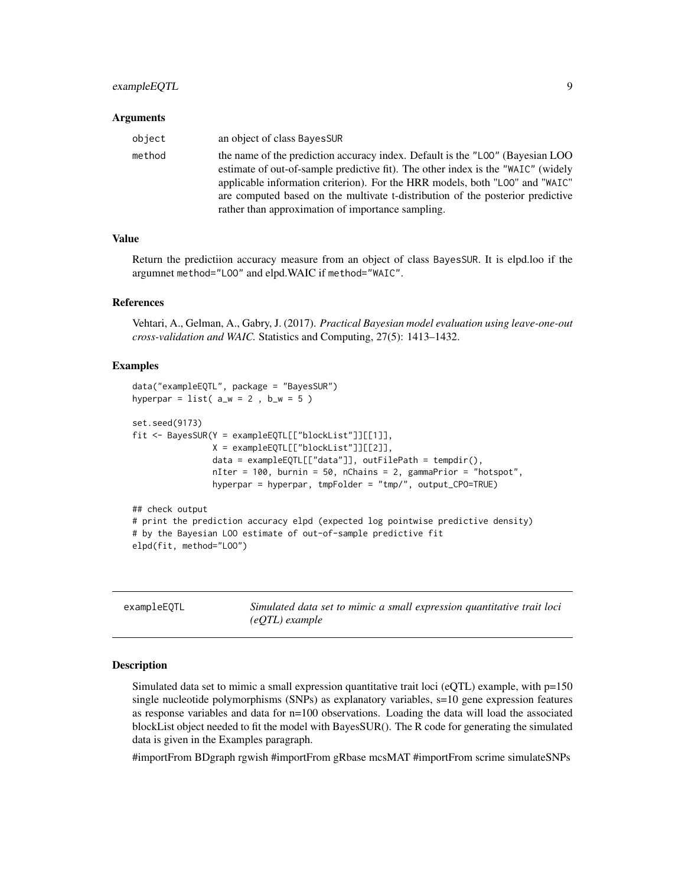# <span id="page-8-0"></span>exampleEQTL 9

#### Arguments

| object | an object of class BayesSUR                                                                                                                                                                                                                                                                                                         |
|--------|-------------------------------------------------------------------------------------------------------------------------------------------------------------------------------------------------------------------------------------------------------------------------------------------------------------------------------------|
| method | the name of the prediction accuracy index. Default is the "LOO" (Bayesian LOO<br>estimate of out-of-sample predictive fit). The other index is the "WAIC" (widely<br>applicable information criterion). For the HRR models, both "LOO" and "WAIC"<br>are computed based on the multivate t-distribution of the posterior predictive |
|        | rather than approximation of importance sampling.                                                                                                                                                                                                                                                                                   |

#### Value

Return the predictiion accuracy measure from an object of class BayesSUR. It is elpd.loo if the argumnet method="LOO" and elpd.WAIC if method="WAIC".

#### References

Vehtari, A., Gelman, A., Gabry, J. (2017). *Practical Bayesian model evaluation using leave-one-out cross-validation and WAIC.* Statistics and Computing, 27(5): 1413–1432.

# Examples

```
data("exampleEQTL", package = "BayesSUR")
hyperpar = list(a_w = 2, b_w = 5)
set.seed(9173)
fit <- BayesSUR(Y = exampleEQTL[["blockList"]][[1]],
               X = exampleEQTL[["blockList"]][[2]],
                data = exampleEQTL[["data"]], outFilePath = tempdir(),
                nIter = 100, burnin = 50, nChains = 2, gammaPrior = "hotspot",
                hyperpar = hyperpar, tmpFolder = "tmp/", output_CPO=TRUE)
## check output
# print the prediction accuracy elpd (expected log pointwise predictive density)
# by the Bayesian LOO estimate of out-of-sample predictive fit
elpd(fit, method="LOO")
```
exampleEQTL *Simulated data set to mimic a small expression quantitative trait loci (eQTL) example*

#### Description

Simulated data set to mimic a small expression quantitative trait loci (eQTL) example, with  $p=150$ single nucleotide polymorphisms (SNPs) as explanatory variables, s=10 gene expression features as response variables and data for n=100 observations. Loading the data will load the associated blockList object needed to fit the model with BayesSUR(). The R code for generating the simulated data is given in the Examples paragraph.

#importFrom BDgraph rgwish #importFrom gRbase mcsMAT #importFrom scrime simulateSNPs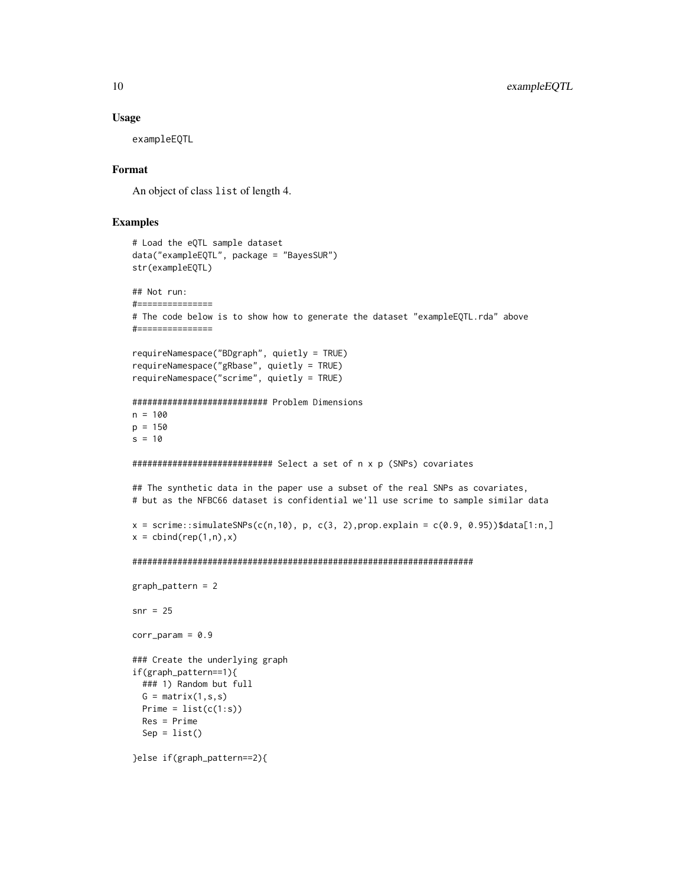#### Usage

exampleEQTL

# Format

An object of class list of length 4.

```
# Load the eQTL sample dataset
data("exampleEQTL", package = "BayesSUR")
str(exampleEQTL)
## Not run:
#===============
# The code below is to show how to generate the dataset "exampleEQTL.rda" above
#===============
requireNamespace("BDgraph", quietly = TRUE)
requireNamespace("gRbase", quietly = TRUE)
requireNamespace("scrime", quietly = TRUE)
########################### Problem Dimensions
n = 100p = 150s = 10############################ Select a set of n x p (SNPs) covariates
## The synthetic data in the paper use a subset of the real SNPs as covariates,
# but as the NFBC66 dataset is confidential we'll use scrime to sample similar data
x = \text{scrime}:\text{simulatesNPs}(c(n,10), p, c(3, 2), prop. explain = c(0.9, 0.95))$data[1:n,]
x = \text{cbind}(\text{rep}(1, n), x)####################################################################
graph_pattern = 2
snr = 25corr\_param = 0.9### Create the underlying graph
if(graph_pattern==1){
  ### 1) Random but full
  G = matrix(1, s, s)Prime = list(c(1:s))Res = Prime
  Sep = list()}else if(graph_pattern==2){
```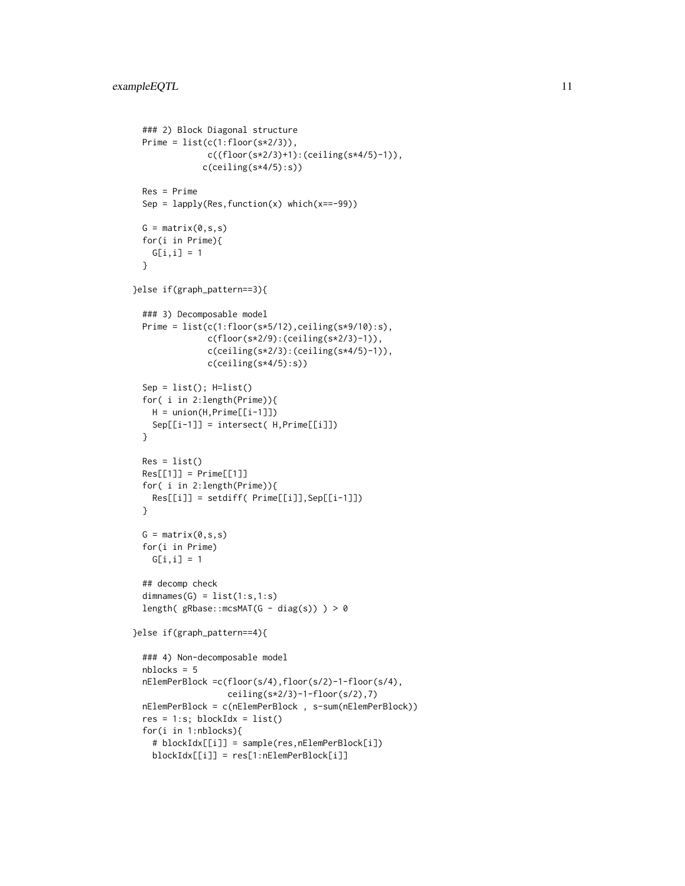```
### 2) Block Diagonal structure
 Prime = list(c(1:floor(s*2/3)),c((floor(s*2/3)+1):(ceiling(s*4/5)-1)),
              c(ceiling(s*4/5):s))
 Res = Prime
 Sep = lapply(Res, function(x) which(x==-99))
 G = matrix(0, s, s)for(i in Prime){
   G[i, i] = 1}
}else if(graph_pattern==3){
 ### 3) Decomposable model
 Prime = list(c(1:floor(s*5/12),ceiling(s*9/10):s),
               c(floor(s*2/9):(ceiling(s*2/3)-1)),
               c(ceiling(s*2/3):(ceiling(s*4/5)-1)),
               c(ceiling(s*4/5):s))
 Sep = list(); H=list()
 for( i in 2:length(Prime)){
   H = union(H,Prime[[i-1]])
   Sep[[i-1]] = intersect( H,Prime[[i]])
 }
 Res = list()Res[[1]] = Prime[[1]]for( i in 2:length(Prime)){
   Res[[i]] = setdiff( Prime[[i]],Sep[[i-1]])
 }
 G = matrix(0, s, s)for(i in Prime)
   G[i, i] = 1## decomp check
 dimensiones(G) = list(1:s,1:s)length( gRbase::mcsMAT(G - diag(s)) > 0}else if(graph_pattern==4){
 ### 4) Non-decomposable model
 nblocks = 5
 nElemPerBlock =c(floor(s/4),floor(s/2)-1-floor(s/4),
                  ceiling(s*2/3)-1-floor(s/2),7)
 nElemPerBlock = c(nElemPerBlock , s-sum(nElemPerBlock))
 res = 1:s; blockIdx = list()for(i in 1:nblocks){
    # blockIdx[[i]] = sample(res,nElemPerBlock[i])
   blockIdx[[i]] = res[1:nElemPerBlock[i]]
```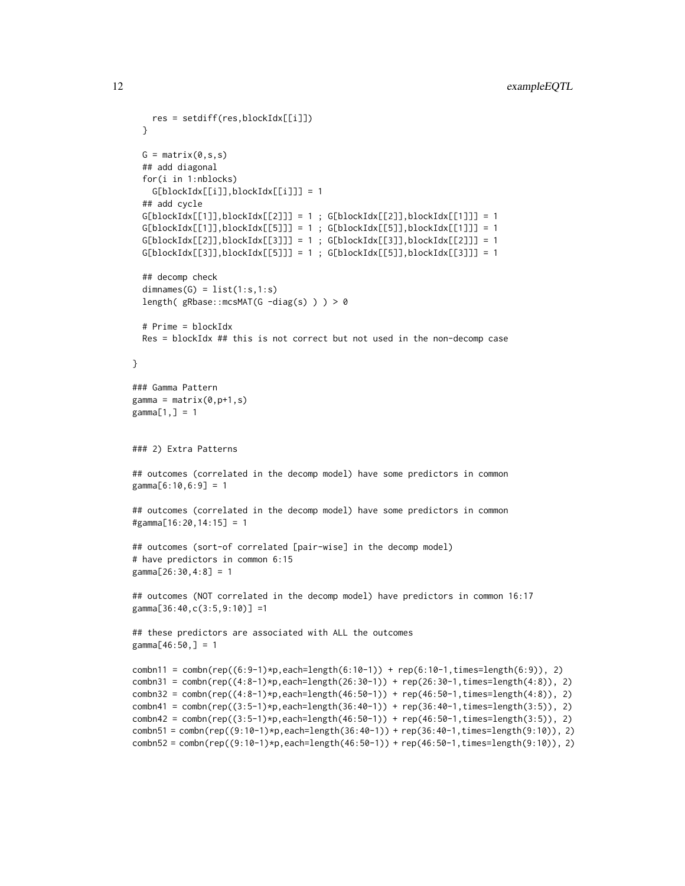```
res = setdiff(res,blockIdx[[i]])
 }
 G = matrix(0, s, s)## add diagonal
 for(i in 1:nblocks)
   G[blockIdx[[i]],blockIdx[[i]]] = 1
 ## add cycle
 G[blockIdx[[1]], blockIdx[[2]]] = 1; G[blockIdx[[2]], blockIdx[[1]]] = 1G[blockIdx[[1]], blockIdx[[5]]] = 1; G[blockIdx[[5]], blockIdx[[1]]] = 1G[blockIdx[[2]], blockIdx[[3]]] = 1; G[blockIdx[[3]], blockIdx[[2]]] = 1G[blockIdx[[3]], blockIdx[[5]]] = 1; G[blockIdx[[5]], blockIdx[[3]]] = 1## decomp check
 dimensiones(G) = list(1:s,1:s)length( gRbase::mcsMAT(G -diag(s) ) ) > 0
 # Prime = blockIdx
 Res = blockIdx ## this is not correct but not used in the non-decomp case
}
### Gamma Pattern
gamma = matrix(0,p+1,s)gamma[1,] = 1### 2) Extra Patterns
## outcomes (correlated in the decomp model) have some predictors in common
gamma[6:10,6:9] = 1
## outcomes (correlated in the decomp model) have some predictors in common
#gamma[16:20,14:15] = 1
## outcomes (sort-of correlated [pair-wise] in the decomp model)
# have predictors in common 6:15
gamma[26:30,4:8] = 1
## outcomes (NOT correlated in the decomp model) have predictors in common 16:17
gamma[36:40,c(3:5,9:10)] =1
## these predictors are associated with ALL the outcomes
gamma[46:50,] = 1
combn11 = combn(rep((6:9-1)*p, each=length(6:10-1)) + rep(6:10-1, times=length(6:9)), 2)
combn31 = combn(rep((4:8-1)*p, each=length(26:30-1)) + rep(26:30-1, times=length(4:8)), 2)
combn32 = combn(rep((4:8-1)*p, each=length(46:50-1)) + rep(46:50-1, times=length(4:8)), 2)
combn41 = combn(rep((3:5-1)*p, each=length(36:40-1)) + rep(36:40-1, times=length(3:5)), 2)
combn42 = combn(rep((3:5-1)*p, each = length(46:50-1)) + rep(46:50-1, times = length(3:5)), 2)combn51 = combn(rep((9:10-1)*p,each=length(36:40-1)) + rep(36:40-1,times=length(9:10)), 2)
combn52 = combn(rep((9:10-1)*p,each=length(46:50-1)) + rep(46:50-1,times=length(9:10)), 2)
```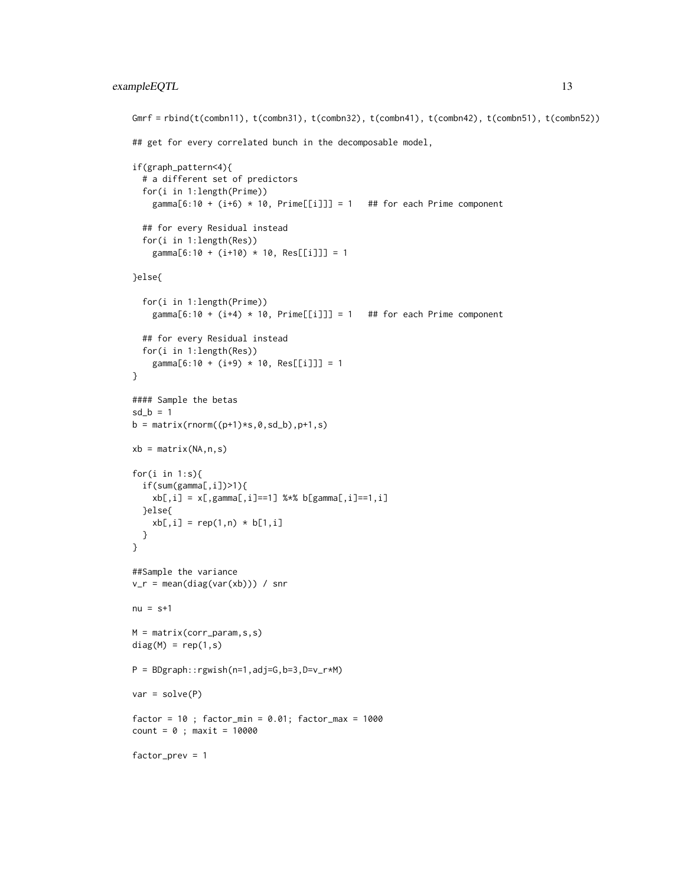# exampleEQTL 13

```
Gmrf = rbind(t(combn11), t(combn31), t(combn32), t(combn41), t(combn42), t(combn51), t(combn52))
## get for every correlated bunch in the decomposable model,
if(graph_pattern<4){
  # a different set of predictors
  for(i in 1:length(Prime))
    gamma[6:10 + (i+6) * 10, Prime[[i]]] = 1 ## for each Prime component
  ## for every Residual instead
  for(i in 1:length(Res))
    gamma[6:10 + (i+10) * 10, Res[[i]]] = 1
}else{
  for(i in 1:length(Prime))
    gamma[6:10 + (i+4) * 10, Prime[[i]]] = 1 ## for each Prime component
  ## for every Residual instead
  for(i in 1:length(Res))
    gamma[6:10 + (i+9) * 10, Res[[i]]] = 1
}
#### Sample the betas
sd_b = 1b = matrix(rnorm((p+1)*s, 0, sd_b), p+1, s)xb = matrix(NA, n, s)for(i in 1:s){
 if(sum(gamma[,i])>1){
   xb[,i] = x[, gamma[, i] == 1] %*% b[gamma[,i]==1,i]
  }else{
   xb[,i] = rep(1,n) * b[1,i]}
}
##Sample the variance
v_r = \text{mean(diag(var(xb)))} / snr
nu = s+1M = matrix(corr_param,s,s)
diag(M) = rep(1, s)P = BDgraph::rgwish(n=1,adj=G,b=3,D=v_r*M)
var = solve(P)factor = 10; factor_min = 0.01; factor_max = 1000count = 0; maxit = 10000factor_prev = 1
```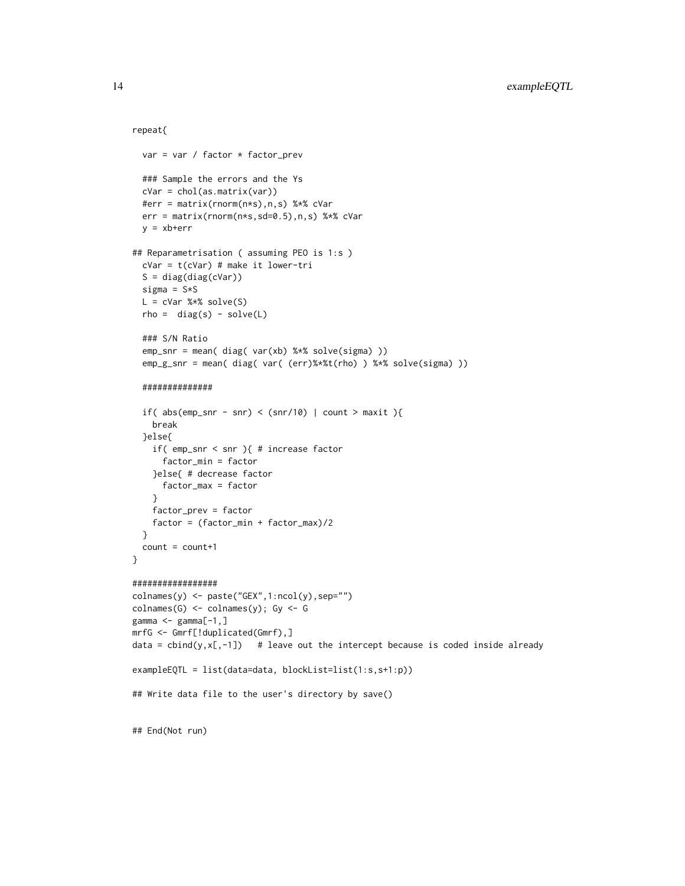### repeat{

```
var = var / factor * factor_prev
  ### Sample the errors and the Ys
  cVar = chol(as.matrix(var))
  #err = matrix(rnorm(n*s),n,s) %*% cVar
  err = matrix(rnorm(n*s,sd=0.5),n,s) %*% cVar
  y = xb+err
## Reparametrisation ( assuming PEO is 1:s )
  cVar = t(cVar) # make it lower-tri
  S = diag(diag(cVar))sigma = S*SL = cVar %*% solve(S)rho = diag(s) - solve(L)### S/N Ratio
  emp_snr = mean( diag( var(xb) %*% solve(sigma) ))
  emp_g_snr = mean( diag( var( (err)%*%t(rho) ) %*% solve(sigma) ))
  ##############
  if( abs(emp\_snr - snr) < (snr/10) | count > maxit ){
    break
  }else{
    if( emp_snr < snr ){ # increase factor
      factor_min = factor
    }else{ # decrease factor
     factor_max = factor
    }
    factor_prev = factor
    factor = (factor_min + factor_max)/2
  }
  count = count+1}
#################
\text{columns}(y) \leq \text{paste}("GEX", 1:\text{ncol}(y), \text{sep}="\})colnames(G) \leftarrow colnames(y); Gy \leftarrow Ggamma <- gamma[-1,]
mrfG <- Gmrf[!duplicated(Gmrf),]
data = cbind(y, x[, -1]) # leave out the intercept because is coded inside already
exampleEQTL = list(data=data, blockList=list(1:s,s+1:p))
## Write data file to the user's directory by save()
## End(Not run)
```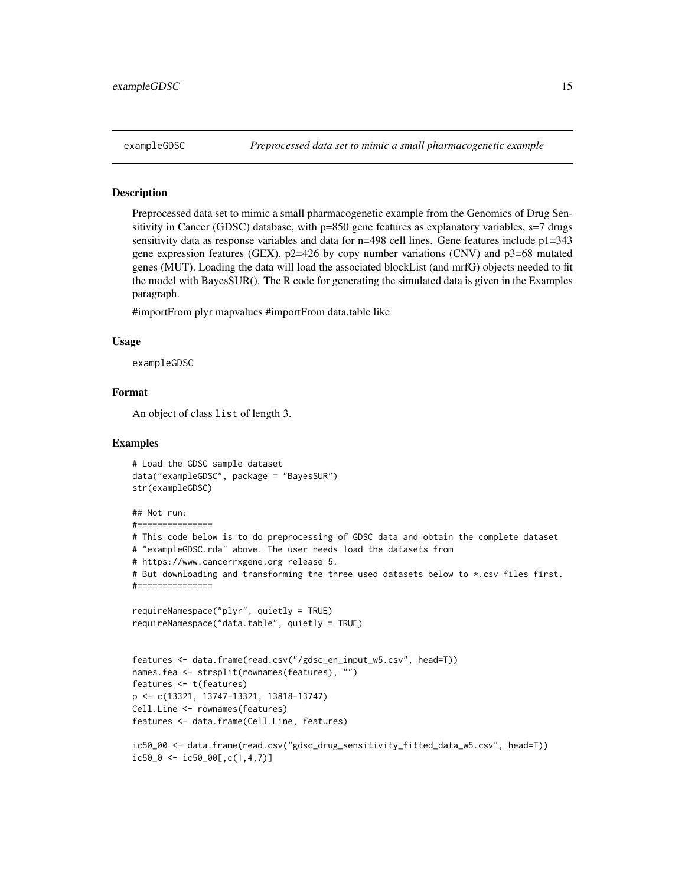<span id="page-14-0"></span>

#### Description

Preprocessed data set to mimic a small pharmacogenetic example from the Genomics of Drug Sensitivity in Cancer (GDSC) database, with p=850 gene features as explanatory variables, s=7 drugs sensitivity data as response variables and data for  $n=498$  cell lines. Gene features include  $p1=343$ gene expression features (GEX),  $p2=426$  by copy number variations (CNV) and  $p3=68$  mutated genes (MUT). Loading the data will load the associated blockList (and mrfG) objects needed to fit the model with BayesSUR(). The R code for generating the simulated data is given in the Examples paragraph.

#importFrom plyr mapvalues #importFrom data.table like

#### Usage

exampleGDSC

# Format

An object of class list of length 3.

```
# Load the GDSC sample dataset
data("exampleGDSC", package = "BayesSUR")
str(exampleGDSC)
## Not run:
#===============
# This code below is to do preprocessing of GDSC data and obtain the complete dataset
# "exampleGDSC.rda" above. The user needs load the datasets from
# https://www.cancerrxgene.org release 5.
# But downloading and transforming the three used datasets below to *.csv files first.
#===============
requireNamespace("plyr", quietly = TRUE)
requireNamespace("data.table", quietly = TRUE)
features <- data.frame(read.csv("/gdsc_en_input_w5.csv", head=T))
names.fea <- strsplit(rownames(features), "")
features <- t(features)
p <- c(13321, 13747-13321, 13818-13747)
Cell.Line <- rownames(features)
features <- data.frame(Cell.Line, features)
ic50_00 <- data.frame(read.csv("gdsc_drug_sensitivity_fitted_data_w5.csv", head=T))
ic50_0 \leftarrow ic50_00[,c(1,4,7)]
```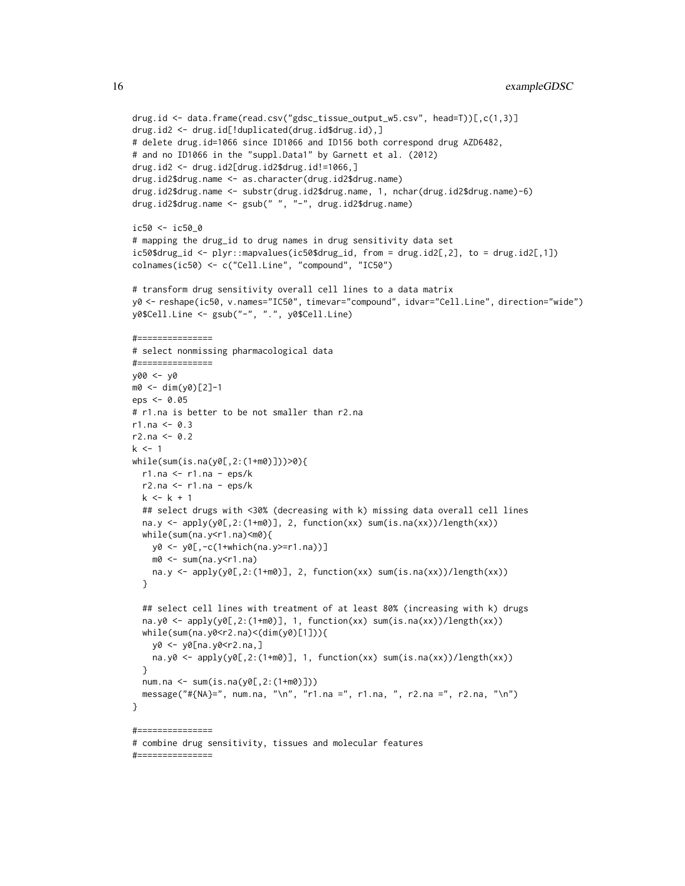```
drug.id <- data.frame(read.csv("gdsc_tissue_output_w5.csv", head=T))[,c(1,3)]
drug.id2 <- drug.id[!duplicated(drug.id$drug.id),]
# delete drug.id=1066 since ID1066 and ID156 both correspond drug AZD6482,
# and no ID1066 in the "suppl.Data1" by Garnett et al. (2012)
drug.id2 <- drug.id2[drug.id2$drug.id!=1066,]
drug.id2$drug.name <- as.character(drug.id2$drug.name)
drug.id2$drug.name <- substr(drug.id2$drug.name, 1, nchar(drug.id2$drug.name)-6)
drug.id2$drug.name <- gsub(" ", "-", drug.id2$drug.name)
ic50 < -ic500# mapping the drug_id to drug names in drug sensitivity data set
ic50$drug_id <- plyr::mapvalues(ic50$drug_id, from = drug.id2[,2], to = drug.id2[,1])
colnames(ic50) <- c("Cell.Line", "compound", "IC50")
# transform drug sensitivity overall cell lines to a data matrix
y0 <- reshape(ic50, v.names="IC50", timevar="compound", idvar="Cell.Line", direction="wide")
y0$Cell.Line <- gsub("-", ".", y0$Cell.Line)
\#=================
# select nonmissing pharmacological data
#===============
y00 <- y0
m0 <- dim(y0)[2]-1
eps <- 0.05
# r1.na is better to be not smaller than r2.na
r1.na < -0.3r2.na < -0.2k \le -1while(sum(is.na(y0[,2:(1+m0)]))>0){
 r1.na <- r1.na - eps/k
  r2.na \le r1.na - eps/kk < -k + 1## select drugs with <30% (decreasing with k) missing data overall cell lines
  na.y <- apply(y0[,2:(1+m0)], 2, function(xx) sum(is.na(xx))/length(xx))
  while(sum(na.y<r1.na)<m0){
    y0 <- y0[,-c(1+which(na.y>=r1.na))]
    m0 <- sum(na.y<r1.na)
    na.y <- apply(y0[,2:(1+m0)], 2, function(xx) sum(is.na(xx))/length(xx))
  }
  ## select cell lines with treatment of at least 80% (increasing with k) drugs
  na.y0 <- apply(y0[,2:(1+m0)], 1, function(xx) sum(is.na(xx))/length(xx))
  while(sum(na.y0<r2.na)<(dim(y0)[1])){
    y0 <- y0[na.y0<r2.na,]
    na.y0 <- apply(y0[,2:(1+m0)], 1, function(xx) sum(is.na(xx))/length(xx))}
  num.na <- sum(is.na(y0[,2:(1+m0)]))
  message("#{NA}=", num.na, "\n", "r1.na =", r1.na, ", r2.na =", r2.na, "\n")
}
#===============
# combine drug sensitivity, tissues and molecular features
#===============
```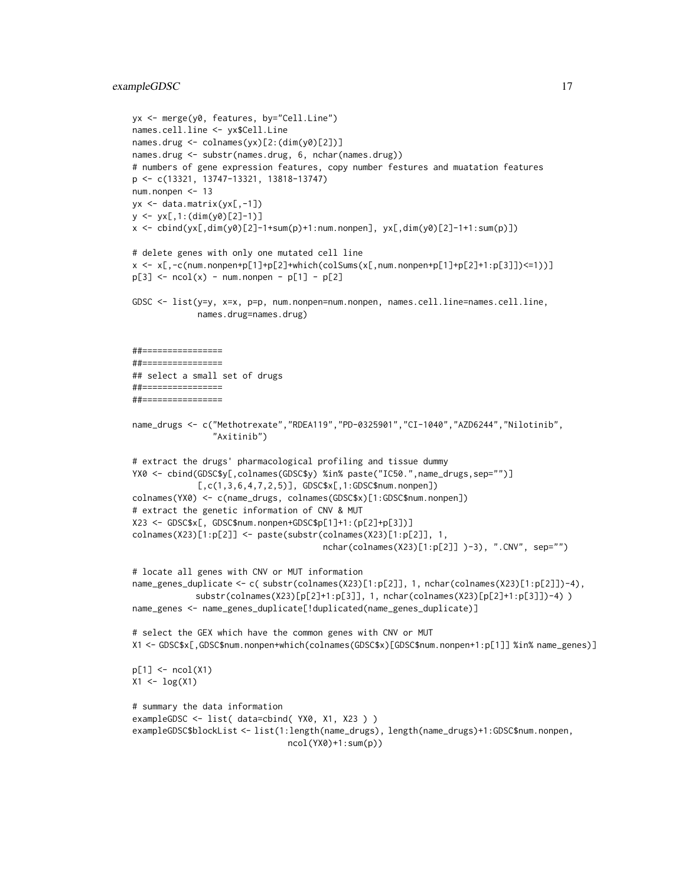#### exampleGDSC 17

```
yx <- merge(y0, features, by="Cell.Line")
names.cell.line <- yx$Cell.Line
names.drug <- colnames(yx)[2:(dim(y0)[2])]
names.drug <- substr(names.drug, 6, nchar(names.drug))
# numbers of gene expression features, copy number festures and muatation features
p <- c(13321, 13747-13321, 13818-13747)
num.nonpen <- 13
yx <- data.matrix(yx[,-1])
y \leftarrow y \left[ 1:(\text{dim}(y\emptyset)[2]-1) \right]x \le cbind(yx[,dim(y0)[2]-1+sum(p)+1:num.nonpen], yx[,dim(y0)[2]-1+1:sum(p)])
# delete genes with only one mutated cell line
x <- x[,-c(num.nonpen+p[1]+p[2]+which(colSums(x[,num.nonpen+p[1]+p[2]+1:p[3]])<=1))]
p[3] <- ncol(x) - num.nonpen - p[1] - p[2]GDSC <- list(y=y, x=x, p=p, num.nonpen=num.nonpen, names.cell.line=names.cell.line,
             names.drug=names.drug)
##================
##================
## select a small set of drugs
##================
##================
name_drugs <- c("Methotrexate","RDEA119","PD-0325901","CI-1040","AZD6244","Nilotinib",
                "Axitinib")
# extract the drugs' pharmacological profiling and tissue dummy
YX0 <- cbind(GDSC$y[,colnames(GDSC$y) %in% paste("IC50.",name_drugs,sep="")]
             [,c(1,3,6,4,7,2,5)], GDSC$x[,1:GDSC$num.nonpen])
colnames(YX0) <- c(name_drugs, colnames(GDSC$x)[1:GDSC$num.nonpen])
# extract the genetic information of CNV & MUT
X23 <- GDSC$x[, GDSC$num.nonpen+GDSC$p[1]+1:(p[2]+p[3])]
colnames(X23)[1:p[2]] <- paste(substr(colnames(X23)[1:p[2]], 1,
                                       nchar(colnames(X23)[1:p[2]] )-3), ".CNV", sep="")
# locate all genes with CNV or MUT information
name_genes_duplicate <- c( substr(colnames(X23)[1:p[2]], 1, nchar(colnames(X23)[1:p[2]])-4),
             substr(colnames(X23)[p[2]+1:p[3]], 1, nchar(colnames(X23)[p[2]+1:p[3]])-4) )
name_genes <- name_genes_duplicate[!duplicated(name_genes_duplicate)]
# select the GEX which have the common genes with CNV or MUT
X1 <- GDSC$x[,GDSC$num.nonpen+which(colnames(GDSC$x)[GDSC$num.nonpen+1:p[1]] %in% name_genes)]
p[1] <- ncol(X1)X1 \leftarrow \log(X1)# summary the data information
exampleGDSC <- list( data=cbind( YX0, X1, X23 ) )
exampleGDSC$blockList <- list(1:length(name_drugs), length(name_drugs)+1:GDSC$num.nonpen,
                                ncol(YX0)+1:sum(p))
```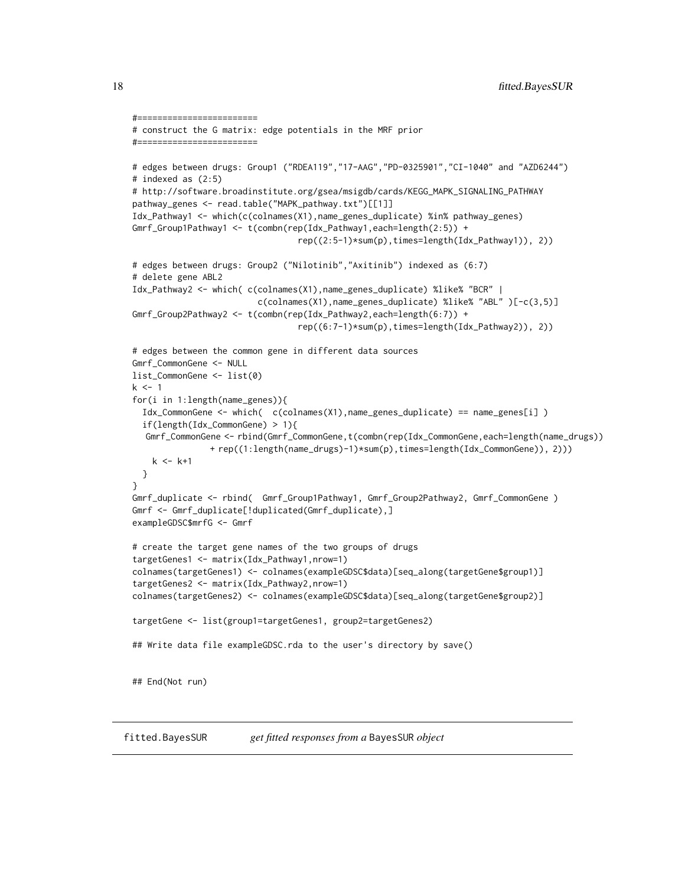```
#========================
# construct the G matrix: edge potentials in the MRF prior
#========================
# edges between drugs: Group1 ("RDEA119","17-AAG","PD-0325901","CI-1040" and "AZD6244")
# indexed as (2:5)
# http://software.broadinstitute.org/gsea/msigdb/cards/KEGG_MAPK_SIGNALING_PATHWAY
pathway_genes <- read.table("MAPK_pathway.txt")[[1]]
Idx_Pathway1 <- which(c(colnames(X1),name_genes_duplicate) %in% pathway_genes)
Gmrf_Group1Pathway1 <- t(combn(rep(Idx_Pathway1,each=length(2:5)) +
                                 rep((2:5-1)*sum(p),times=length(Idx_Pathway1)), 2))
# edges between drugs: Group2 ("Nilotinib","Axitinib") indexed as (6:7)
# delete gene ABL2
Idx_Pathway2 <- which( c(colnames(X1),name_genes_duplicate) %like% "BCR" |
                         c(colnames(X1),name_genes_duplicate) %like% "ABL" )[-c(3,5)]
Gmrf_Group2Pathway2 <- t(combn(rep(Idx_Pathway2,each=length(6:7)) +
                                 rep((6:7-1)*sum(p),times=length(Idx_Pathway2)), 2))
# edges between the common gene in different data sources
Gmrf_CommonGene <- NULL
list_CommonGene <- list(0)
k < -1for(i in 1:length(name_genes)){
 Idx_CommonGene <- which( c(colnames(X1),name_genes_duplicate) == name_genes[i] )
 if(length(Idx_CommonGene) > 1){
  Gmrf_CommonGene <- rbind(Gmrf_CommonGene,t(combn(rep(Idx_CommonGene,each=length(name_drugs))
               + rep((1:length(name_drugs)-1)*sum(p),times=length(Idx_CommonGene)), 2)))
   k < - k+1}
}
Gmrf_duplicate <- rbind( Gmrf_Group1Pathway1, Gmrf_Group2Pathway2, Gmrf_CommonGene )
Gmrf <- Gmrf_duplicate[!duplicated(Gmrf_duplicate),]
exampleGDSC$mrfG <- Gmrf
# create the target gene names of the two groups of drugs
targetGenes1 <- matrix(Idx_Pathway1,nrow=1)
colnames(targetGenes1) <- colnames(exampleGDSC$data)[seq_along(targetGene$group1)]
targetGenes2 <- matrix(Idx_Pathway2,nrow=1)
colnames(targetGenes2) <- colnames(exampleGDSC$data)[seq_along(targetGene$group2)]
targetGene <- list(group1=targetGenes1, group2=targetGenes2)
## Write data file exampleGDSC.rda to the user's directory by save()
## End(Not run)
```
<span id="page-17-0"></span>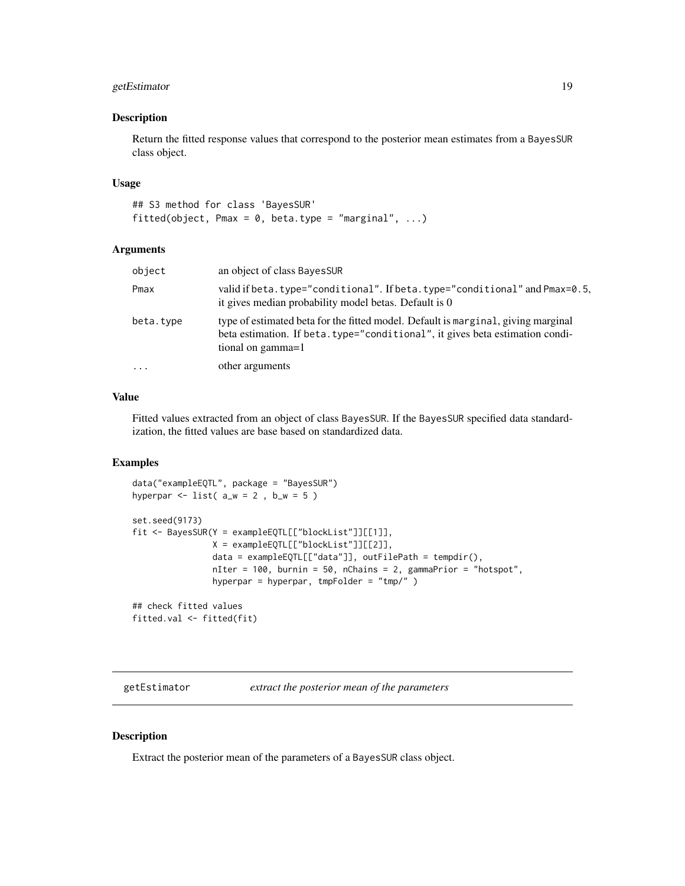# <span id="page-18-0"></span>getEstimator 19

#### Description

Return the fitted response values that correspond to the posterior mean estimates from a BayesSUR class object.

# Usage

```
## S3 method for class 'BayesSUR'
fitted(object, Pmax = 0, beta.type = "marginal", ...)
```
# Arguments

| object    | an object of class BayesSUR                                                                                                                                                            |
|-----------|----------------------------------------------------------------------------------------------------------------------------------------------------------------------------------------|
| Pmax      | valid if beta.type="conditional". If beta.type="conditional" and Pmax=0.5,<br>it gives median probability model betas. Default is 0                                                    |
| beta.type | type of estimated beta for the fitted model. Default is marginal, giving marginal<br>beta estimation. If beta.type="conditional", it gives beta estimation condi-<br>tional on gamma=1 |
| $\cdots$  | other arguments                                                                                                                                                                        |

# Value

Fitted values extracted from an object of class BayesSUR. If the BayesSUR specified data standardization, the fitted values are base based on standardized data.

# Examples

```
data("exampleEQTL", package = "BayesSUR")
hyperpar \le list( a_w = 2, b_w = 5)
set.seed(9173)
fit <- BayesSUR(Y = exampleEQTL[["blockList"]][[1]],
               X = exampleEQTL[["blockList"]][[2]],
                data = exampleEQTL[["data"]], outFilePath = tempdir(),
                nIter = 100, burnin = 50, nChains = 2, gammaPrior = "hotspot",
                hyperpar = hyperpar, tmpFolder = "tmp/" )
## check fitted values
```
fitted.val <- fitted(fit)

getEstimator *extract the posterior mean of the parameters*

### Description

Extract the posterior mean of the parameters of a BayesSUR class object.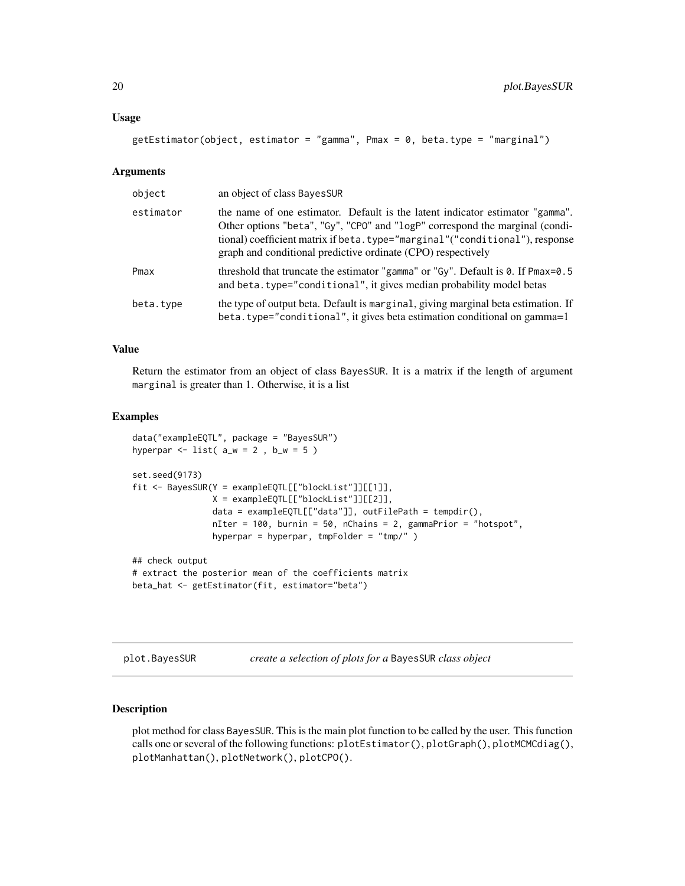#### <span id="page-19-0"></span>Usage

```
getEstimator(object, estimator = "gamma", Pmax = 0, beta.type = "marginal")
```
# Arguments

| object    | an object of class BayesSUR                                                                                                                                                                                                                                                                                  |
|-----------|--------------------------------------------------------------------------------------------------------------------------------------------------------------------------------------------------------------------------------------------------------------------------------------------------------------|
| estimator | the name of one estimator. Default is the latent indicator estimator "gamma".<br>Other options "beta", "Gy", "CPO" and "logP" correspond the marginal (condi-<br>tional) coefficient matrix if beta.type="marginal"("conditional"), response<br>graph and conditional predictive ordinate (CPO) respectively |
| Pmax      | threshold that truncate the estimator "gamma" or "Gy". Default is 0. If Pmax=0.5<br>and beta.type="conditional", it gives median probability model betas                                                                                                                                                     |
| beta.type | the type of output beta. Default is marginal, giving marginal beta estimation. If<br>beta.type="conditional", it gives beta estimation conditional on gamma=1                                                                                                                                                |

# Value

Return the estimator from an object of class BayesSUR. It is a matrix if the length of argument marginal is greater than 1. Otherwise, it is a list

#### Examples

```
data("exampleEQTL", package = "BayesSUR")
hyperpar \le list( a_w = 2, b_w = 5)
set.seed(9173)
fit <- BayesSUR(Y = exampleEQTL[["blockList"]][[1]],
                X = exampleEQTL[["blockList"]][[2]],
                data = exampleEQTL[["data"]], outFilePath = tempdir(),
                nIter = 100, burnin = 50, nChains = 2, gammaPrior = "hotspot",
                hyperpar = hyperpar, tmpFolder = "tmp/" )
## check output
# extract the posterior mean of the coefficients matrix
beta_hat <- getEstimator(fit, estimator="beta")
```
plot.BayesSUR *create a selection of plots for a* BayesSUR *class object*

### Description

plot method for class BayesSUR. This is the main plot function to be called by the user. This function calls one or several of the following functions: plotEstimator(), plotGraph(), plotMCMCdiag(), plotManhattan(), plotNetwork(), plotCPO().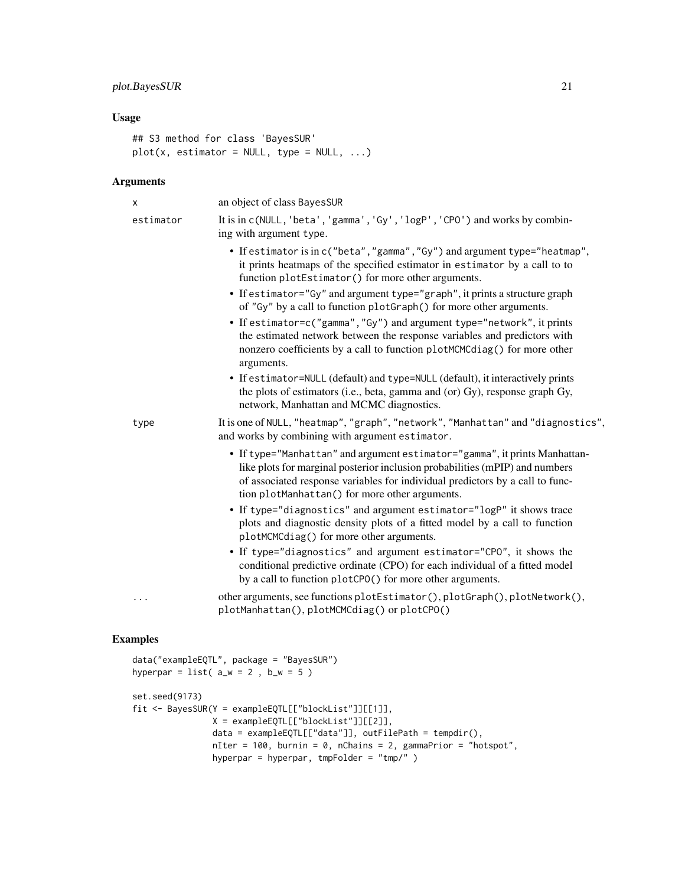# plot.BayesSUR 21

# Usage

```
## S3 method for class 'BayesSUR'
plot(x, estimator = NULL, type = NULL, ...)
```
# Arguments

| х         | an object of class BayesSUR                                                                                                                                                                                                                                                                   |
|-----------|-----------------------------------------------------------------------------------------------------------------------------------------------------------------------------------------------------------------------------------------------------------------------------------------------|
| estimator | It is in c(NULL, 'beta', 'gamma', 'Gy', 'logP', 'CPO') and works by combin-<br>ing with argument type.                                                                                                                                                                                        |
|           | • If estimator is in c("beta", "gamma", "Gy") and argument type="heatmap",<br>it prints heatmaps of the specified estimator in estimator by a call to to<br>function plotEstimator() for more other arguments.                                                                                |
|           | • If estimator="Gy" and argument type="graph", it prints a structure graph<br>of "Gy" by a call to function plotGraph() for more other arguments.                                                                                                                                             |
|           | • If estimator=c("gamma","Gy") and argument type="network", it prints<br>the estimated network between the response variables and predictors with<br>nonzero coefficients by a call to function plotMCMCdiag() for more other<br>arguments.                                                   |
|           | • If estimator=NULL (default) and type=NULL (default), it interactively prints<br>the plots of estimators (i.e., beta, gamma and (or) Gy), response graph Gy,<br>network, Manhattan and MCMC diagnostics.                                                                                     |
| type      | It is one of NULL, "heatmap", "graph", "network", "Manhattan" and "diagnostics",<br>and works by combining with argument estimator.                                                                                                                                                           |
|           | • If type="Manhattan" and argument estimator="gamma", it prints Manhattan-<br>like plots for marginal posterior inclusion probabilities (mPIP) and numbers<br>of associated response variables for individual predictors by a call to func-<br>tion plotManhattan() for more other arguments. |
|           | • If type="diagnostics" and argument estimator="logP" it shows trace<br>plots and diagnostic density plots of a fitted model by a call to function<br>plotMCMCdiag() for more other arguments.                                                                                                |
|           | • If type="diagnostics" and argument estimator="CPO", it shows the<br>conditional predictive ordinate (CPO) for each individual of a fitted model<br>by a call to function plotCPO() for more other arguments.                                                                                |
|           | other arguments, see functions plotEstimator(), plotGraph(), plotNetwork(),<br>plotManhattan(), plotMCMCdiag() or plotCPO()                                                                                                                                                                   |

```
data("exampleEQTL", package = "BayesSUR")
hyperpar = list(a_w = 2, b_w = 5)
set.seed(9173)
fit <- BayesSUR(Y = exampleEQTL[["blockList"]][[1]],
               X = exampleEQTL[["blockList"]][[2]],
               data = exampleEQTL[["data"]], outFilePath = tempdir(),
               nIter = 100, burnin = 0, nChains = 2, gammaPrior = "hotspot",
               hyperpar = hyperpar, tmpFolder = "tmp/" )
```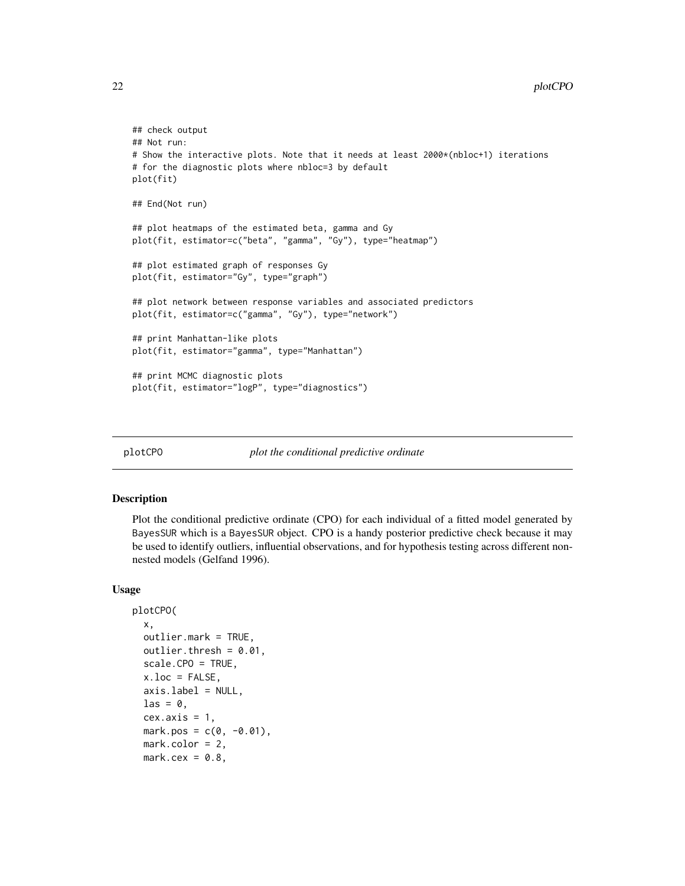```
## check output
## Not run:
# Show the interactive plots. Note that it needs at least 2000*(nbloc+1) iterations
# for the diagnostic plots where nbloc=3 by default
plot(fit)
## End(Not run)
## plot heatmaps of the estimated beta, gamma and Gy
plot(fit, estimator=c("beta", "gamma", "Gy"), type="heatmap")
## plot estimated graph of responses Gy
plot(fit, estimator="Gy", type="graph")
## plot network between response variables and associated predictors
plot(fit, estimator=c("gamma", "Gy"), type="network")
## print Manhattan-like plots
plot(fit, estimator="gamma", type="Manhattan")
## print MCMC diagnostic plots
plot(fit, estimator="logP", type="diagnostics")
```
plotCPO *plot the conditional predictive ordinate*

#### Description

Plot the conditional predictive ordinate (CPO) for each individual of a fitted model generated by BayesSUR which is a BayesSUR object. CPO is a handy posterior predictive check because it may be used to identify outliers, influential observations, and for hypothesis testing across different nonnested models (Gelfand 1996).

#### Usage

```
plotCPO(
  x,
  outlier.mark = TRUE,
  outlier.thresh = 0.01,
  scale.CPO = TRUE,
  x.loc = FALSE,axis. label = NULL,
  \text{las} = 0.
  cex. axis = 1,
  mark.pos = c(0, -0.01),
  mark.color = 2,
  mark.cex = 0.8,
```
<span id="page-21-0"></span>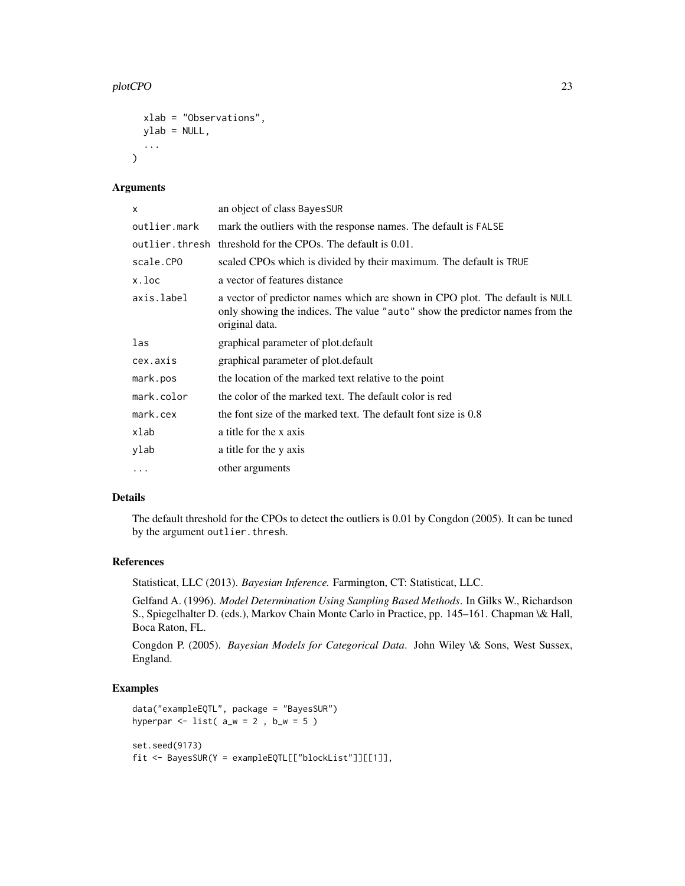### plotCPO 23

```
xlab = "Observations",
 ylab = NULL,
  ...
\lambda
```
# Arguments

| x            | an object of class BayesSUR                                                                                                                                                    |
|--------------|--------------------------------------------------------------------------------------------------------------------------------------------------------------------------------|
| outlier.mark | mark the outliers with the response names. The default is FALSE                                                                                                                |
|              | outlier, thresh threshold for the CPOs. The default is 0.01.                                                                                                                   |
| scale.CPO    | scaled CPOs which is divided by their maximum. The default is TRUE                                                                                                             |
| x.loc        | a vector of features distance                                                                                                                                                  |
| axis.label   | a vector of predictor names which are shown in CPO plot. The default is NULL<br>only showing the indices. The value "auto" show the predictor names from the<br>original data. |
| las          | graphical parameter of plot.default                                                                                                                                            |
| cex.axis     | graphical parameter of plot. default                                                                                                                                           |
| mark.pos     | the location of the marked text relative to the point                                                                                                                          |
| mark.color   | the color of the marked text. The default color is red                                                                                                                         |
| mark.cex     | the font size of the marked text. The default font size is 0.8                                                                                                                 |
| xlab         | a title for the x axis                                                                                                                                                         |
| ylab         | a title for the y axis                                                                                                                                                         |
| $\cdots$     | other arguments                                                                                                                                                                |

# Details

The default threshold for the CPOs to detect the outliers is 0.01 by Congdon (2005). It can be tuned by the argument outlier.thresh.

# References

Statisticat, LLC (2013). *Bayesian Inference.* Farmington, CT: Statisticat, LLC.

Gelfand A. (1996). *Model Determination Using Sampling Based Methods*. In Gilks W., Richardson S., Spiegelhalter D. (eds.), Markov Chain Monte Carlo in Practice, pp. 145–161. Chapman \& Hall, Boca Raton, FL.

Congdon P. (2005). *Bayesian Models for Categorical Data*. John Wiley \& Sons, West Sussex, England.

```
data("exampleEQTL", package = "BayesSUR")
hyperpar \le list( a_w = 2, b_w = 5)
set.seed(9173)
fit <- BayesSUR(Y = exampleEQTL[["blockList"]][[1]],
```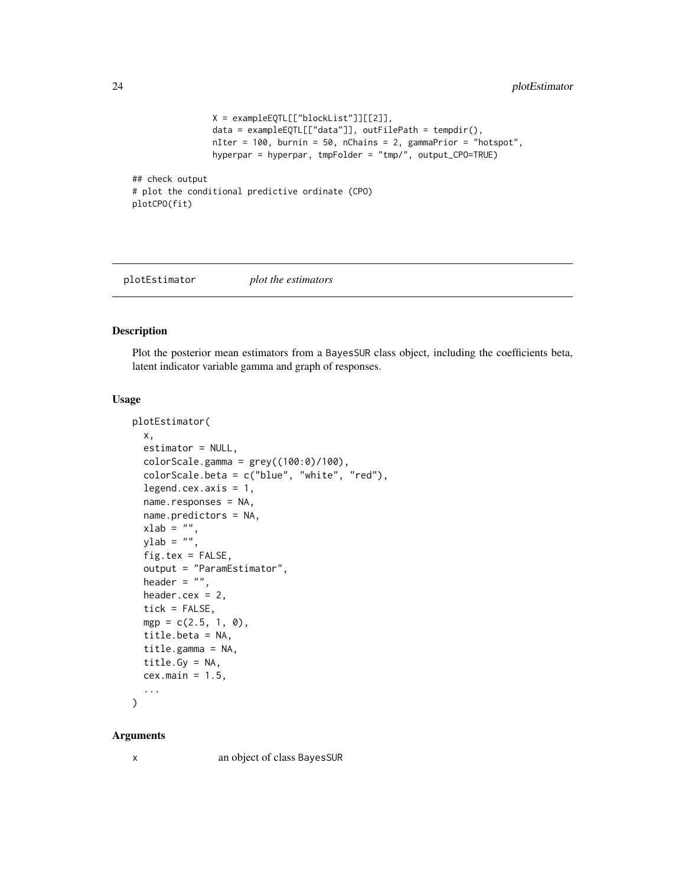```
X = exampleEQTL[["blockList"]][[2]],
                data = exampleEQTL[["data"]], outFilePath = tempdir(),
                nIter = 100, burnin = 50, nChains = 2, gammaPrior = "hotspot",
                hyperpar = hyperpar, tmpFolder = "tmp/", output_CPO=TRUE)
## check output
# plot the conditional predictive ordinate (CPO)
plotCPO(fit)
```
plotEstimator *plot the estimators*

# Description

Plot the posterior mean estimators from a BayesSUR class object, including the coefficients beta, latent indicator variable gamma and graph of responses.

# Usage

```
plotEstimator(
  x,
  estimator = NULL,
  colorScale.gamma = grey((100:0)/100),
  colorScale.beta = c("blue", "white", "red"),
  legend.cex.axis = 1,
  name.responses = NA,
  name.predictors = NA,
  xlab = "",
 ylab = ",
  fig.tex = FALSE,output = "ParamEstimator",
  header = ",
  header.cex = 2,
  tick = FALSE,
  mgp = c(2.5, 1, 0),
  title.beta = NA,
  title.gamma = NA,
  title.Gy = NA,
  cex.main = 1.5,
  ...
```
# $\mathcal{L}$

#### Arguments

x an object of class BayesSUR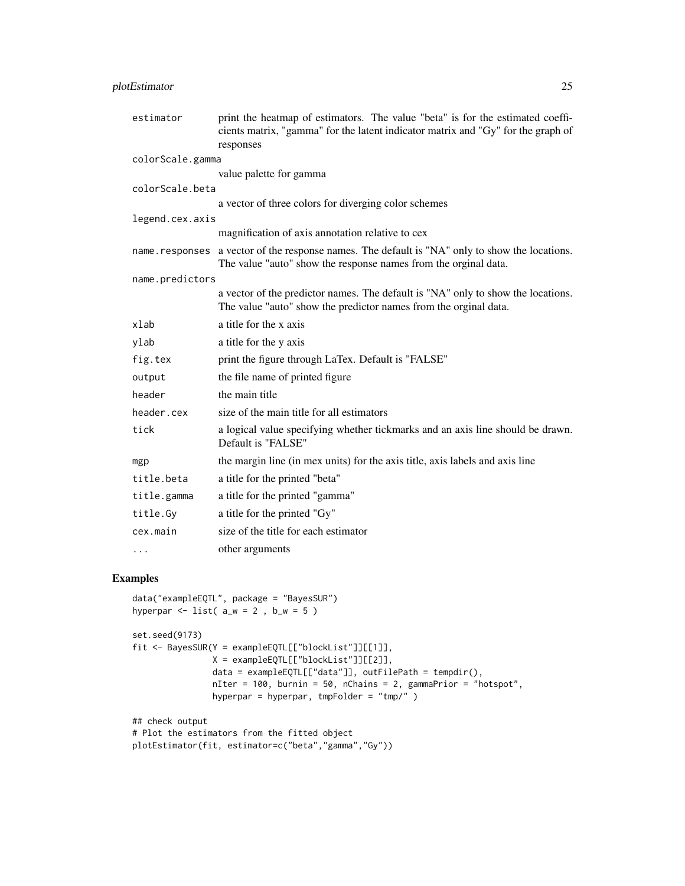# plotEstimator 25

| estimator        | print the heatmap of estimators. The value "beta" is for the estimated coeffi-<br>cients matrix, "gamma" for the latent indicator matrix and "Gy" for the graph of<br>responses |
|------------------|---------------------------------------------------------------------------------------------------------------------------------------------------------------------------------|
| colorScale.gamma |                                                                                                                                                                                 |
|                  | value palette for gamma                                                                                                                                                         |
| colorScale.beta  |                                                                                                                                                                                 |
|                  | a vector of three colors for diverging color schemes                                                                                                                            |
| legend.cex.axis  |                                                                                                                                                                                 |
|                  | magnification of axis annotation relative to cex                                                                                                                                |
|                  | name responses a vector of the response names. The default is "NA" only to show the locations.<br>The value "auto" show the response names from the orginal data.               |
| name.predictors  |                                                                                                                                                                                 |
|                  | a vector of the predictor names. The default is "NA" only to show the locations.<br>The value "auto" show the predictor names from the orginal data.                            |
| xlab             | a title for the x axis                                                                                                                                                          |
| ylab             | a title for the y axis                                                                                                                                                          |
| fig.tex          | print the figure through LaTex. Default is "FALSE"                                                                                                                              |
| output           | the file name of printed figure                                                                                                                                                 |
| header           | the main title                                                                                                                                                                  |
| header.cex       | size of the main title for all estimators                                                                                                                                       |
| tick             | a logical value specifying whether tickmarks and an axis line should be drawn.<br>Default is "FALSE"                                                                            |
| mgp              | the margin line (in mex units) for the axis title, axis labels and axis line                                                                                                    |
| title.beta       | a title for the printed "beta"                                                                                                                                                  |
| title.gamma      | a title for the printed "gamma"                                                                                                                                                 |
| title.Gy         | a title for the printed "Gy"                                                                                                                                                    |
| cex.main         | size of the title for each estimator                                                                                                                                            |
| $\cdots$         | other arguments                                                                                                                                                                 |

# Examples

data("exampleEQTL", package = "BayesSUR")

```
hyperpar \le list( a_w = 2, b_w = 5)
set.seed(9173)
fit <- BayesSUR(Y = exampleEQTL[["blockList"]][[1]],
               X = exampleEQTL[["blockList"]][[2]],
               data = exampleEQTL[["data"]], outFilePath = tempdir(),
               nIter = 100, burnin = 50, nChains = 2, gammaPrior = "hotspot",
               hyperpar = hyperpar, tmpFolder = "tmp/")## check output
# Plot the estimators from the fitted object
plotEstimator(fit, estimator=c("beta","gamma","Gy"))
```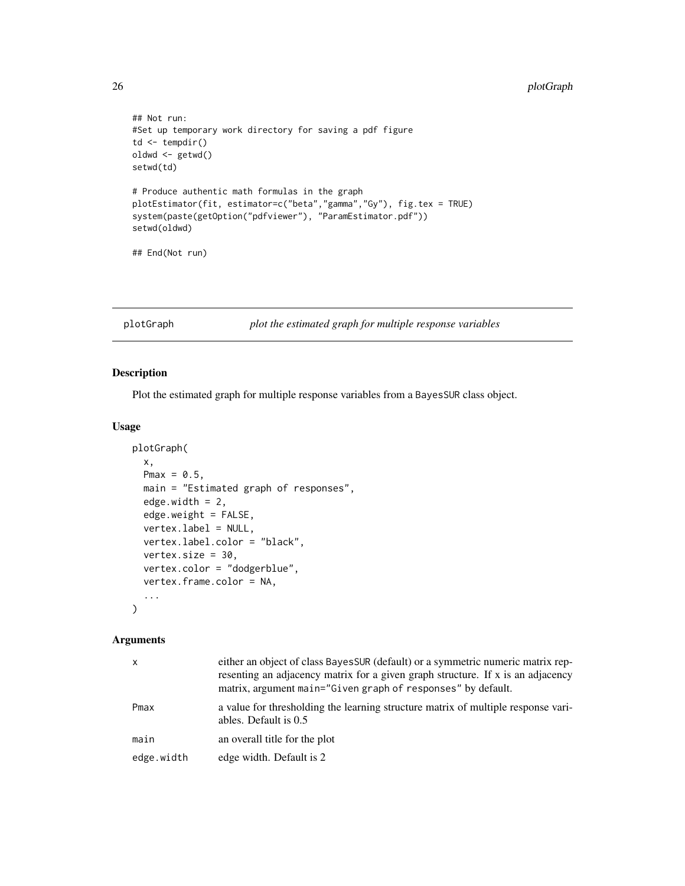```
## Not run:
#Set up temporary work directory for saving a pdf figure
td <- tempdir()
oldwd <- getwd()
setwd(td)
# Produce authentic math formulas in the graph
plotEstimator(fit, estimator=c("beta","gamma","Gy"), fig.tex = TRUE)
system(paste(getOption("pdfviewer"), "ParamEstimator.pdf"))
setwd(oldwd)
## End(Not run)
```
plotGraph *plot the estimated graph for multiple response variables*

# Description

Plot the estimated graph for multiple response variables from a BayesSUR class object.

# Usage

```
plotGraph(
 x,
 Pmax = 0.5,
 main = "Estimated graph of responses",
 edge.width = 2,
 edge.weight = FALSE,
 vertex.label = NULL,
 vertex.label.color = "black",
 vertex.size = 30,
 vertex.color = "dodgerblue",
 vertex.frame.color = NA,
  ...
)
```
#### Arguments

| x          | either an object of class Bayes SUR (default) or a symmetric numeric matrix rep-<br>resenting an adjacency matrix for a given graph structure. If x is an adjacency<br>matrix, argument main="Given graph of responses" by default. |
|------------|-------------------------------------------------------------------------------------------------------------------------------------------------------------------------------------------------------------------------------------|
| Pmax       | a value for thresholding the learning structure matrix of multiple response vari-<br>ables. Default is 0.5                                                                                                                          |
| main       | an overall title for the plot                                                                                                                                                                                                       |
| edge.width | edge width. Default is 2                                                                                                                                                                                                            |

<span id="page-25-0"></span>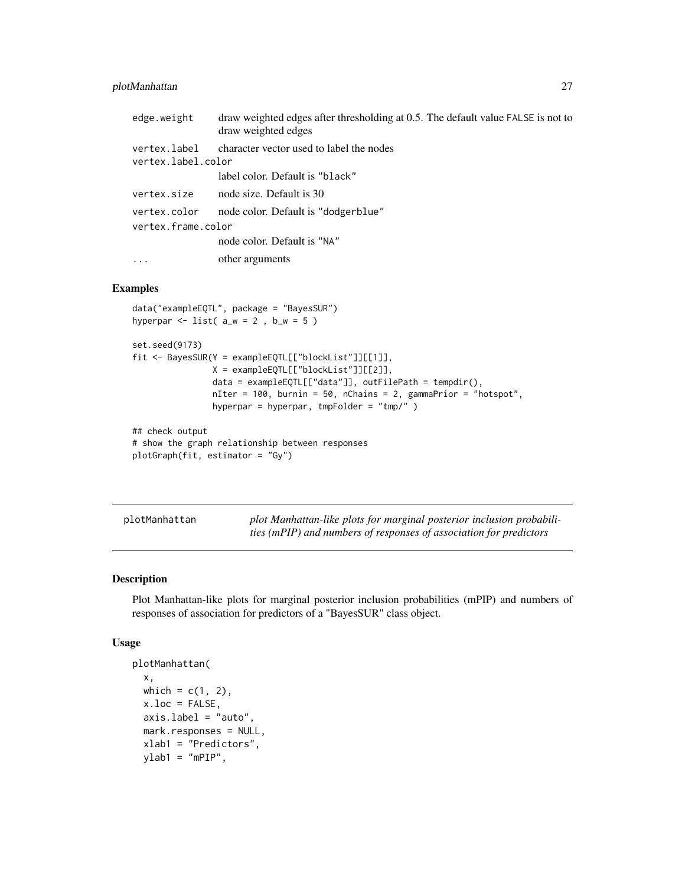# <span id="page-26-0"></span>plotManhattan 27

| edge.weight                        | draw weighted edges after thresholding at 0.5. The default value FALSE is not to<br>draw weighted edges |
|------------------------------------|---------------------------------------------------------------------------------------------------------|
| vertex.label<br>vertex.label.color | character vector used to label the nodes                                                                |
|                                    | label color. Default is "black"                                                                         |
| vertex.size                        | node size. Default is 30                                                                                |
| vertex.color                       | node color. Default is "dodgerblue"                                                                     |
| vertex.frame.color                 |                                                                                                         |
|                                    | node color. Default is "NA"                                                                             |
| $\ddotsc$                          | other arguments                                                                                         |

# Examples

```
data("exampleEQTL", package = "BayesSUR")
hyperpar \le list( a_w = 2, b_w = 5)
set.seed(9173)
fit <- BayesSUR(Y = exampleEQTL[["blockList"]][[1]],
                X = exampleEQTL[["blockList"]][[2]],
                data = exampleEQTL[["data"]], outFilePath = tempdir(),
                nIter = 100, burnin = 50, nChains = 2, gammaPrior = "hotspot",
                hyperpar = hyperpar, tmpFolder = "tmp/" )
## check output
# show the graph relationship between responses
plotGraph(fit, estimator = "Gy")
```
plotManhattan *plot Manhattan-like plots for marginal posterior inclusion probabilities (mPIP) and numbers of responses of association for predictors*

# Description

Plot Manhattan-like plots for marginal posterior inclusion probabilities (mPIP) and numbers of responses of association for predictors of a "BayesSUR" class object.

# Usage

```
plotManhattan(
  x,
 which = c(1, 2),
 x.loc = FALSE,
  axis.label = "auto",
 mark.responses = NULL,
 xlab1 = "Predictors",
 ylab1 = "mPIP",
```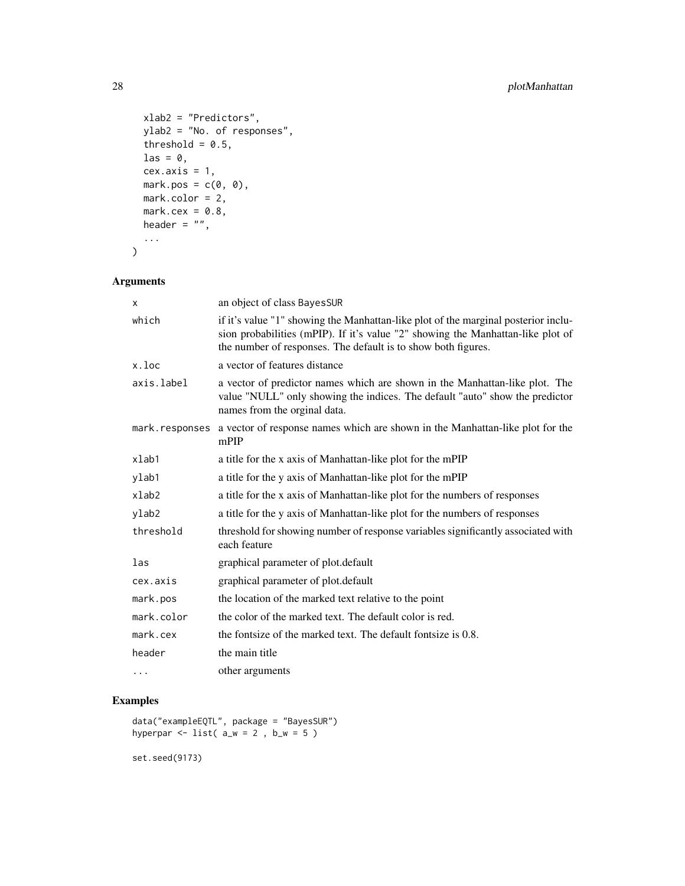```
xlab2 = "Predictors",
 ylab2 = "No. of responses",
 threshold = 0.5,
 las = 0,
 cex. axis = 1,mark.pos = c(\emptyset, \emptyset),
 mark.color = 2,
 mark.cex = 0.8,
 header = ",
  ...
)
```
# Arguments

| x           | an object of class BayesSUR                                                                                                                                                                                                            |
|-------------|----------------------------------------------------------------------------------------------------------------------------------------------------------------------------------------------------------------------------------------|
| which       | if it's value "1" showing the Manhattan-like plot of the marginal posterior inclu-<br>sion probabilities (mPIP). If it's value "2" showing the Manhattan-like plot of<br>the number of responses. The default is to show both figures. |
| x.loc       | a vector of features distance                                                                                                                                                                                                          |
| axis.label  | a vector of predictor names which are shown in the Manhattan-like plot. The<br>value "NULL" only showing the indices. The default "auto" show the predictor<br>names from the orginal data.                                            |
|             | mark. responses a vector of response names which are shown in the Manhattan-like plot for the<br>mPIP                                                                                                                                  |
| xlab1       | a title for the x axis of Manhattan-like plot for the mPIP                                                                                                                                                                             |
| ylab1       | a title for the y axis of Manhattan-like plot for the mPIP                                                                                                                                                                             |
| $x$ lab $2$ | a title for the x axis of Manhattan-like plot for the numbers of responses                                                                                                                                                             |
| ylab2       | a title for the y axis of Manhattan-like plot for the numbers of responses                                                                                                                                                             |
| threshold   | threshold for showing number of response variables significantly associated with<br>each feature                                                                                                                                       |
| las         | graphical parameter of plot.default                                                                                                                                                                                                    |
| cex.axis    | graphical parameter of plot.default                                                                                                                                                                                                    |
| mark.pos    | the location of the marked text relative to the point                                                                                                                                                                                  |
| mark.color  | the color of the marked text. The default color is red.                                                                                                                                                                                |
| mark. cex   | the fontsize of the marked text. The default fontsize is 0.8.                                                                                                                                                                          |
| header      | the main title                                                                                                                                                                                                                         |
| .           | other arguments                                                                                                                                                                                                                        |

# Examples

```
data("exampleEQTL", package = "BayesSUR")
hyperpar \le list( a_w = 2, b_w = 5)
```
set.seed(9173)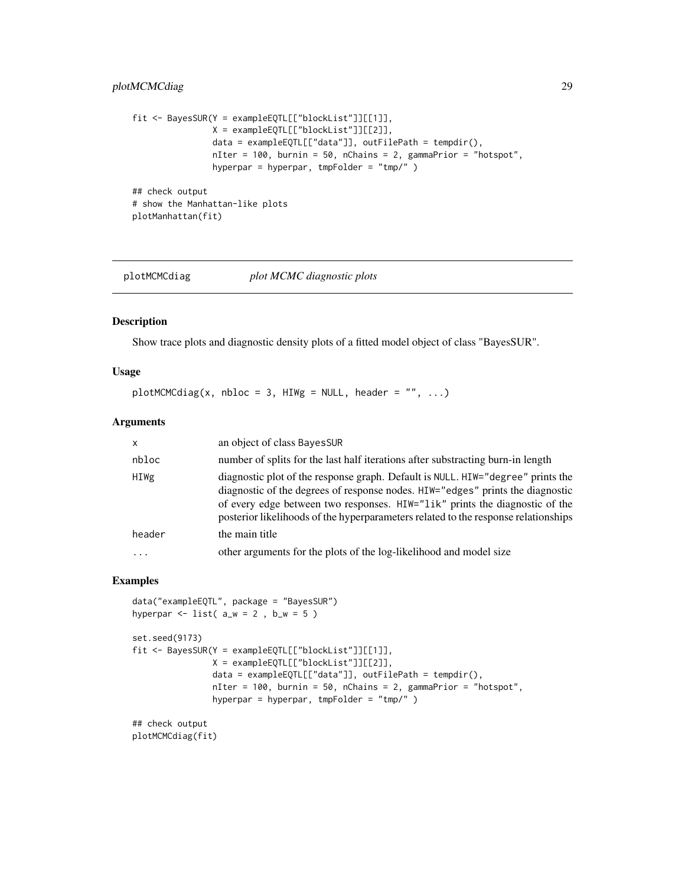# <span id="page-28-0"></span>plotMCMCdiag 29

```
fit <- BayesSUR(Y = exampleEQTL[["blockList"]][[1]],
               X = exampleEQTL[["blockList"]][[2]],
                data = exampleEQTL[["data"]], outFilePath = tempdir(),
                nIter = 100, burnin = 50, nChains = 2, gammaPrior = "hotspot",
                hyperpar = hyperpar, tmpFolder = "tmp/" )
## check output
# show the Manhattan-like plots
plotManhattan(fit)
```
plotMCMCdiag *plot MCMC diagnostic plots*

Show trace plots and diagnostic density plots of a fitted model object of class "BayesSUR".

# Usage

```
plotMCMCdiag(x, nbloc = 3, HIWg = NULL, header = "", ...)
```
#### Arguments

Description

| $\mathsf{x}$ | an object of class BayesSUR                                                                                                                                                                                                                                                                                                            |
|--------------|----------------------------------------------------------------------------------------------------------------------------------------------------------------------------------------------------------------------------------------------------------------------------------------------------------------------------------------|
| nbloc        | number of splits for the last half iterations after substracting burn-in length                                                                                                                                                                                                                                                        |
| HIWg         | diagnostic plot of the response graph. Default is NULL. HIW="degree" prints the<br>diagnostic of the degrees of response nodes. HIW="edges" prints the diagnostic<br>of every edge between two responses. HIW="lik" prints the diagnostic of the<br>posterior likelihoods of the hyperparameters related to the response relationships |
| header       | the main title                                                                                                                                                                                                                                                                                                                         |
| $\ddotsc$    | other arguments for the plots of the log-likelihood and model size                                                                                                                                                                                                                                                                     |
|              |                                                                                                                                                                                                                                                                                                                                        |

```
data("exampleEQTL", package = "BayesSUR")
hyperpar \le list( a_w = 2, b_w = 5)
set.seed(9173)
fit <- BayesSUR(Y = exampleEQTL[["blockList"]][[1]],
                X = exampleEQTL[["blockList"]][[2]],
                data = exampleEQTL[["data"]], outFilePath = tempdir(),
                nIter = 100, burnin = 50, nChains = 2, gammaPrior = "hotspot",
                hyperpar = hyperpar, tmpFolder = "tmp/" )
## check output
```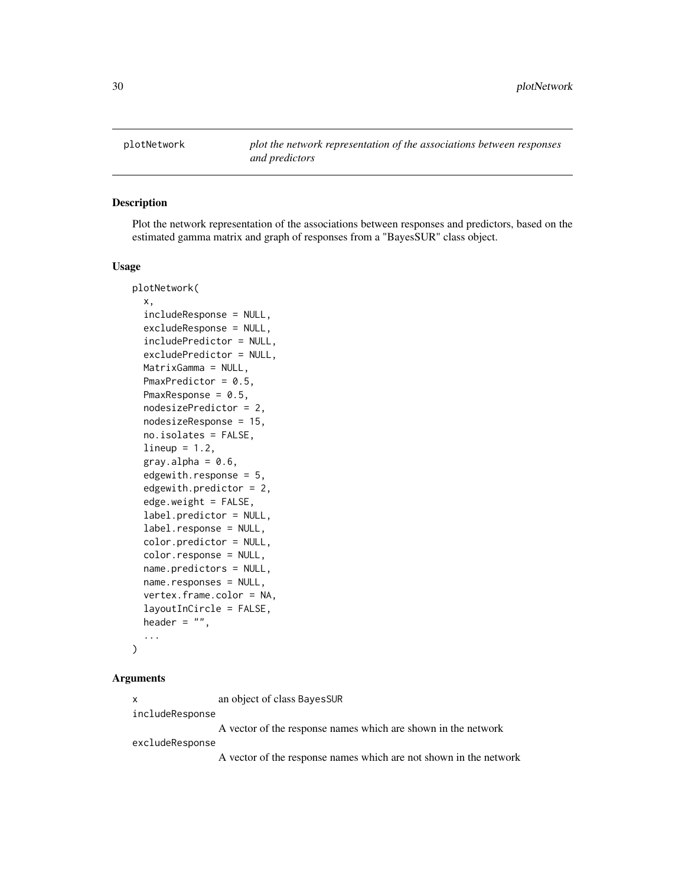<span id="page-29-0"></span>plotNetwork *plot the network representation of the associations between responses and predictors*

# Description

Plot the network representation of the associations between responses and predictors, based on the estimated gamma matrix and graph of responses from a "BayesSUR" class object.

#### Usage

```
plotNetwork(
  x,
  includeResponse = NULL,
  excludeResponse = NULL,
  includePredictor = NULL,
  excludePredictor = NULL,
 MatrixGamma = NULL,
  PmaxPredictor = 0.5,
  PmaxResponse = 0.5,
  nodesizePredictor = 2,
  nodesizeResponse = 15,
  no.isolates = FALSE,
  lineup = 1.2,
  gray.alpha = 0.6,
  edgewith.response = 5.
  edgewith.predictor = 2,
  edge.weight = FALSE,
  label.predictor = NULL,
  label.response = NULL,
  color.predictor = NULL,
  color.response = NULL,
  name.predictors = NULL,
  name.responses = NULL,
  vertex.frame.color = NA,
  layoutInCircle = FALSE,
  header = ",
  ...
)
```
#### Arguments

x an object of class BayesSUR

includeResponse

A vector of the response names which are shown in the network

excludeResponse

A vector of the response names which are not shown in the network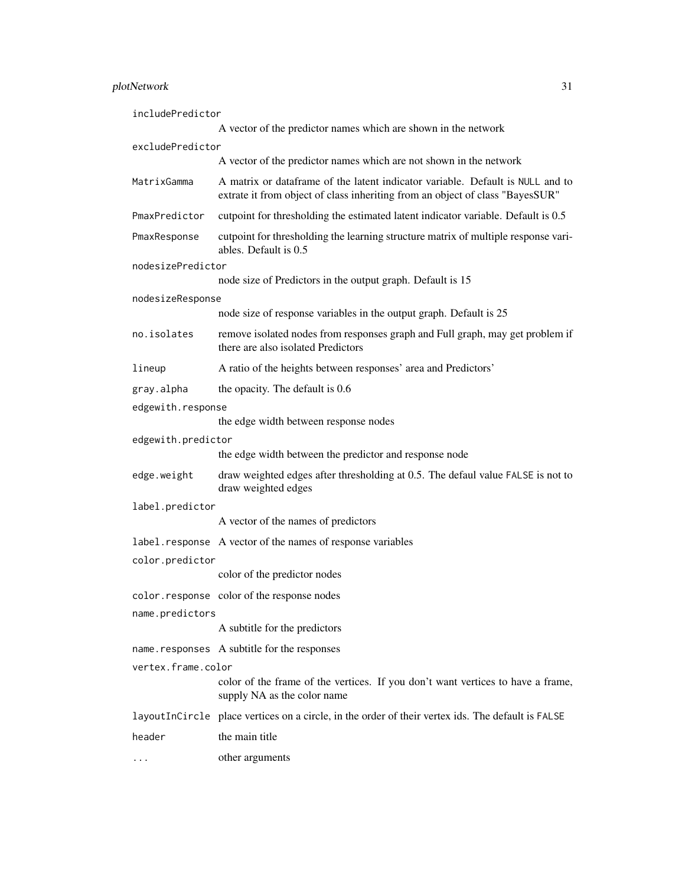# plotNetwork 31

| includePredictor   |                                                                                                                                                                 |
|--------------------|-----------------------------------------------------------------------------------------------------------------------------------------------------------------|
|                    | A vector of the predictor names which are shown in the network                                                                                                  |
| excludePredictor   |                                                                                                                                                                 |
|                    | A vector of the predictor names which are not shown in the network                                                                                              |
| MatrixGamma        | A matrix or dataframe of the latent indicator variable. Default is NULL and to<br>extrate it from object of class inheriting from an object of class "BayesSUR" |
| PmaxPredictor      | cutpoint for thresholding the estimated latent indicator variable. Default is 0.5                                                                               |
| PmaxResponse       | cutpoint for thresholding the learning structure matrix of multiple response vari-<br>ables. Default is 0.5                                                     |
| nodesizePredictor  |                                                                                                                                                                 |
|                    | node size of Predictors in the output graph. Default is 15                                                                                                      |
| nodesizeResponse   | node size of response variables in the output graph. Default is 25                                                                                              |
| no.isolates        | remove isolated nodes from responses graph and Full graph, may get problem if                                                                                   |
|                    | there are also isolated Predictors                                                                                                                              |
| lineup             | A ratio of the heights between responses' area and Predictors'                                                                                                  |
| gray.alpha         | the opacity. The default is 0.6                                                                                                                                 |
| edgewith.response  |                                                                                                                                                                 |
|                    | the edge width between response nodes                                                                                                                           |
| edgewith.predictor |                                                                                                                                                                 |
|                    | the edge width between the predictor and response node                                                                                                          |
| edge.weight        | draw weighted edges after thresholding at 0.5. The defaul value FALSE is not to<br>draw weighted edges                                                          |
| label.predictor    |                                                                                                                                                                 |
|                    | A vector of the names of predictors                                                                                                                             |
|                    | label. response A vector of the names of response variables                                                                                                     |
| color.predictor    |                                                                                                                                                                 |
|                    | color of the predictor nodes                                                                                                                                    |
|                    | color.response color of the response nodes                                                                                                                      |
| name.predictors    |                                                                                                                                                                 |
|                    | A subtitle for the predictors                                                                                                                                   |
|                    | name.responses A subtitle for the responses                                                                                                                     |
| vertex.frame.color |                                                                                                                                                                 |
|                    | color of the frame of the vertices. If you don't want vertices to have a frame,<br>supply NA as the color name                                                  |
|                    | layout InCircle place vertices on a circle, in the order of their vertex ids. The default is FALSE                                                              |
| header             | the main title                                                                                                                                                  |
| .                  | other arguments                                                                                                                                                 |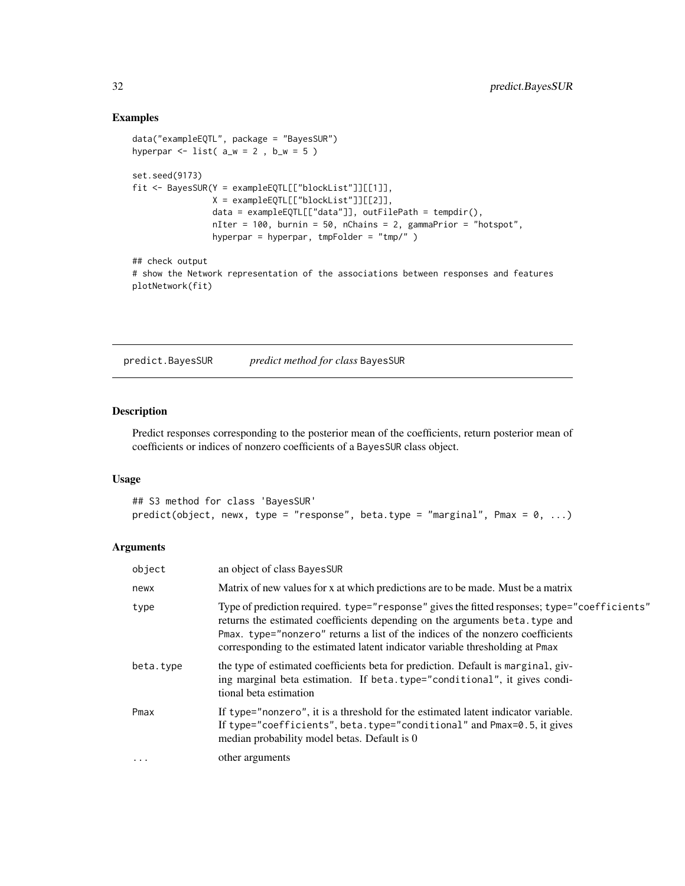# Examples

```
data("exampleEQTL", package = "BayesSUR")
hyperpar \le list( a_w = 2, b_w = 5)
set.seed(9173)
fit <- BayesSUR(Y = exampleEQTL[["blockList"]][[1]],
               X = exampleEQTL[["blockList"]][[2]],
                data = exampleEQTL[["data"]], outFilePath = tempdir(),
                nIter = 100, burnin = 50, nChains = 2, gammaPrior = "hotspot",
                hyperpar = hyperpar, tmpFolder = "tmp/" )
## check output
# show the Network representation of the associations between responses and features
plotNetwork(fit)
```
predict.BayesSUR *predict method for class* BayesSUR

#### Description

Predict responses corresponding to the posterior mean of the coefficients, return posterior mean of coefficients or indices of nonzero coefficients of a BayesSUR class object.

# Usage

```
## S3 method for class 'BayesSUR'
predict(object, newx, type = "response", beta.type = "marginal", Pmax = 0, \ldots)
```
# Arguments

| object    | an object of class BayesSUR                                                                                                                                                                                                                                                                                                                     |
|-----------|-------------------------------------------------------------------------------------------------------------------------------------------------------------------------------------------------------------------------------------------------------------------------------------------------------------------------------------------------|
| newx      | Matrix of new values for x at which predictions are to be made. Must be a matrix                                                                                                                                                                                                                                                                |
| type      | Type of prediction required. type="response" gives the fitted responses; type="coefficients"<br>returns the estimated coefficients depending on the arguments beta. type and<br>Pmax. type="nonzero" returns a list of the indices of the nonzero coefficients<br>corresponding to the estimated latent indicator variable thresholding at Pmax |
| beta.type | the type of estimated coefficients beta for prediction. Default is marginal, giv-<br>ing marginal beta estimation. If beta.type="conditional", it gives condi-<br>tional beta estimation                                                                                                                                                        |
| Pmax      | If type="nonzero", it is a threshold for the estimated latent indicator variable.<br>If type="coefficients", beta.type="conditional" and Pmax=0.5, it gives<br>median probability model betas. Default is 0                                                                                                                                     |
| $\cdots$  | other arguments                                                                                                                                                                                                                                                                                                                                 |

<span id="page-31-0"></span>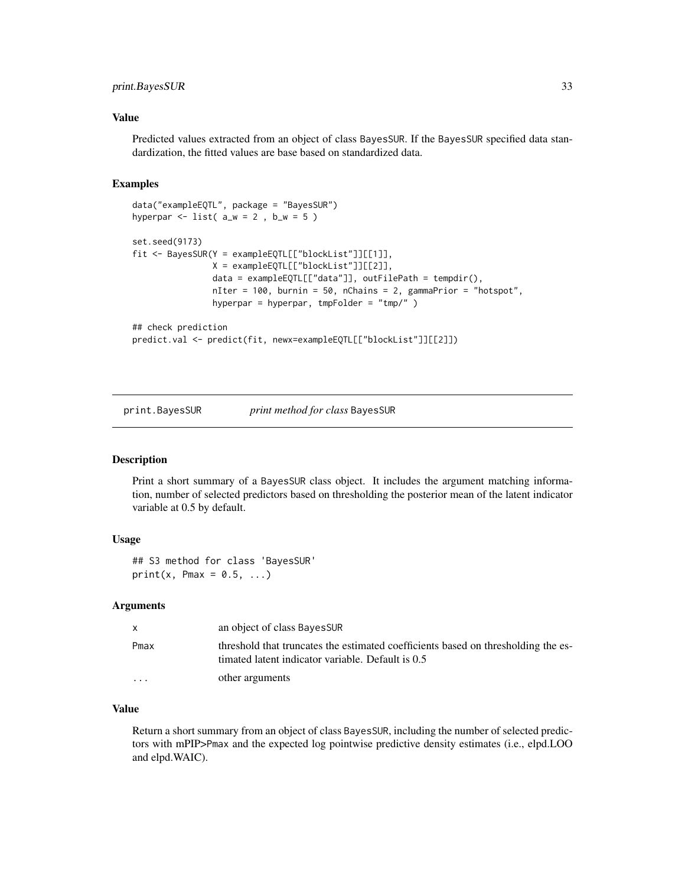# <span id="page-32-0"></span>print.BayesSUR 33

# Value

Predicted values extracted from an object of class BayesSUR. If the BayesSUR specified data standardization, the fitted values are base based on standardized data.

# Examples

```
data("exampleEQTL", package = "BayesSUR")
hyperpar \le list( a_w = 2, b_w = 5)
set.seed(9173)
fit <- BayesSUR(Y = exampleEQTL[["blockList"]][[1]],
               X = exampleEQTL[["blockList"]][[2]],
                data = exampleEQTL[["data"]], outFilePath = tempdir(),
                nIter = 100, burnin = 50, nChains = 2, gammaPrior = "hotspot",
                hyperpar = hyperpar, tmpFolder = "tmp/" )
## check prediction
predict.val <- predict(fit, newx=exampleEQTL[["blockList"]][[2]])
```
print.BayesSUR *print method for class* BayesSUR

#### **Description**

Print a short summary of a BayesSUR class object. It includes the argument matching information, number of selected predictors based on thresholding the posterior mean of the latent indicator variable at 0.5 by default.

#### Usage

## S3 method for class 'BayesSUR'  $print(x, Pmax = 0.5, ...)$ 

#### Arguments

| X        | an object of class BayesSUR                                                                                                            |
|----------|----------------------------------------------------------------------------------------------------------------------------------------|
| Pmax     | threshold that truncates the estimated coefficients based on thresholding the es-<br>timated latent indicator variable. Default is 0.5 |
| $\cdots$ | other arguments                                                                                                                        |

# Value

Return a short summary from an object of class BayesSUR, including the number of selected predictors with mPIP>Pmax and the expected log pointwise predictive density estimates (i.e., elpd.LOO and elpd.WAIC).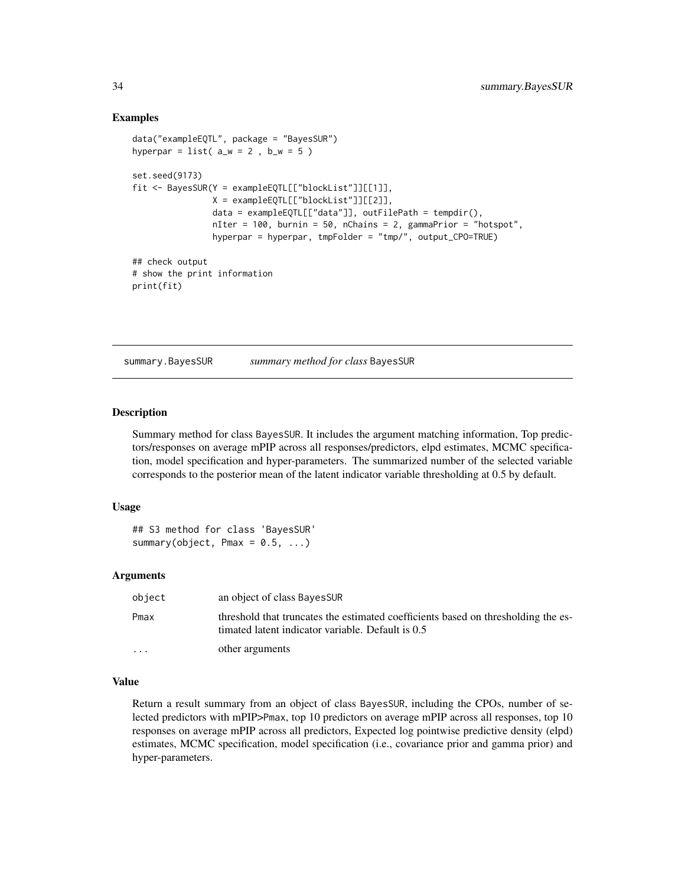# Examples

```
data("exampleEQTL", package = "BayesSUR")
hyperpar = list(a_w = 2, b_w = 5)
set.seed(9173)
fit <- BayesSUR(Y = exampleEQTL[["blockList"]][[1]],
               X = exampleEQTL[["blockList"]][[2]],
                data = exampleEQTL[["data"], outFilePath = tempdir(),
                nIter = 100, burnin = 50, nChains = 2, gammaPrior = "hotspot",
                hyperpar = hyperpar, tmpFolder = "tmp/", output_CPO=TRUE)
## check output
# show the print information
print(fit)
```
summary.BayesSUR *summary method for class* BayesSUR

#### Description

Summary method for class BayesSUR. It includes the argument matching information, Top predictors/responses on average mPIP across all responses/predictors, elpd estimates, MCMC specification, model specification and hyper-parameters. The summarized number of the selected variable corresponds to the posterior mean of the latent indicator variable thresholding at 0.5 by default.

#### Usage

## S3 method for class 'BayesSUR' summary(object, Pmax =  $0.5, ...$ )

#### Arguments

| object  | an object of class BayesSUR                                                                                                            |
|---------|----------------------------------------------------------------------------------------------------------------------------------------|
| Pmax    | threshold that truncates the estimated coefficients based on thresholding the es-<br>timated latent indicator variable. Default is 0.5 |
| $\cdot$ | other arguments                                                                                                                        |

## Value

Return a result summary from an object of class BayesSUR, including the CPOs, number of selected predictors with mPIP>Pmax, top 10 predictors on average mPIP across all responses, top 10 responses on average mPIP across all predictors, Expected log pointwise predictive density (elpd) estimates, MCMC specification, model specification (i.e., covariance prior and gamma prior) and hyper-parameters.

<span id="page-33-0"></span>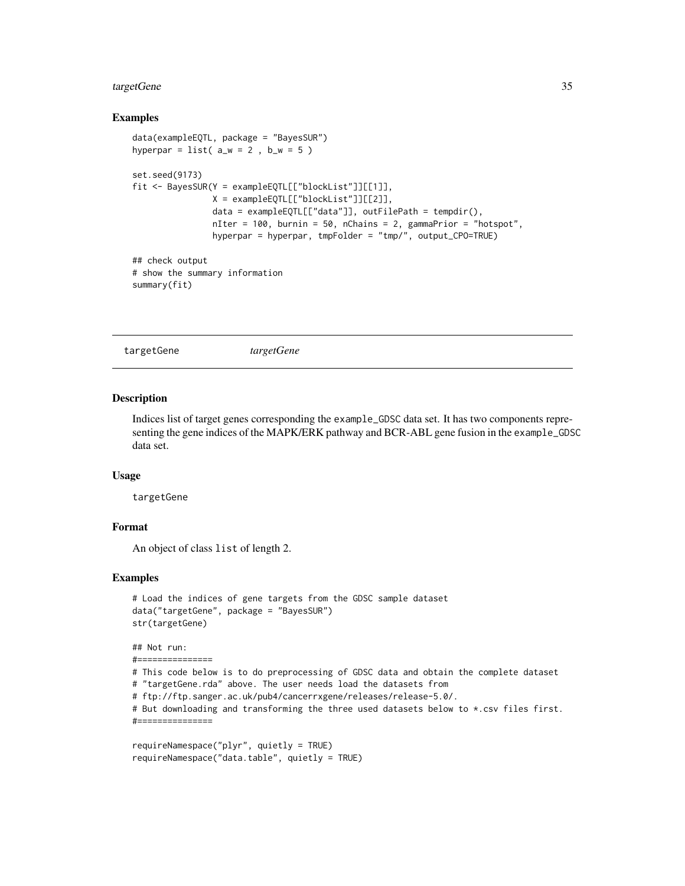#### <span id="page-34-0"></span>targetGene 35

#### Examples

```
data(exampleEQTL, package = "BayesSUR")
hyperpar = list( a_w = 2, b_w = 5)set.seed(9173)
fit <- BayesSUR(Y = exampleEQTL[["blockList"]][[1]],
               X = exampleEQTL[["blockList"]][[2]],
                data = exampleEQTL[["data"]], outFilePath = tempdir(),
                nIter = 100, burnin = 50, nChains = 2, gammaPrior = "hotspot",
                hyperpar = hyperpar, tmpFolder = "tmp/", output_CPO=TRUE)
## check output
# show the summary information
summary(fit)
```
targetGene *targetGene*

#### Description

Indices list of target genes corresponding the example\_GDSC data set. It has two components representing the gene indices of the MAPK/ERK pathway and BCR-ABL gene fusion in the example\_GDSC data set.

#### Usage

targetGene

#===============

# Format

An object of class list of length 2.

```
# Load the indices of gene targets from the GDSC sample dataset
data("targetGene", package = "BayesSUR")
str(targetGene)
## Not run:
#===============
# This code below is to do preprocessing of GDSC data and obtain the complete dataset
# "targetGene.rda" above. The user needs load the datasets from
# ftp://ftp.sanger.ac.uk/pub4/cancerrxgene/releases/release-5.0/.
# But downloading and transforming the three used datasets below to *.csv files first.
```

```
requireNamespace("plyr", quietly = TRUE)
requireNamespace("data.table", quietly = TRUE)
```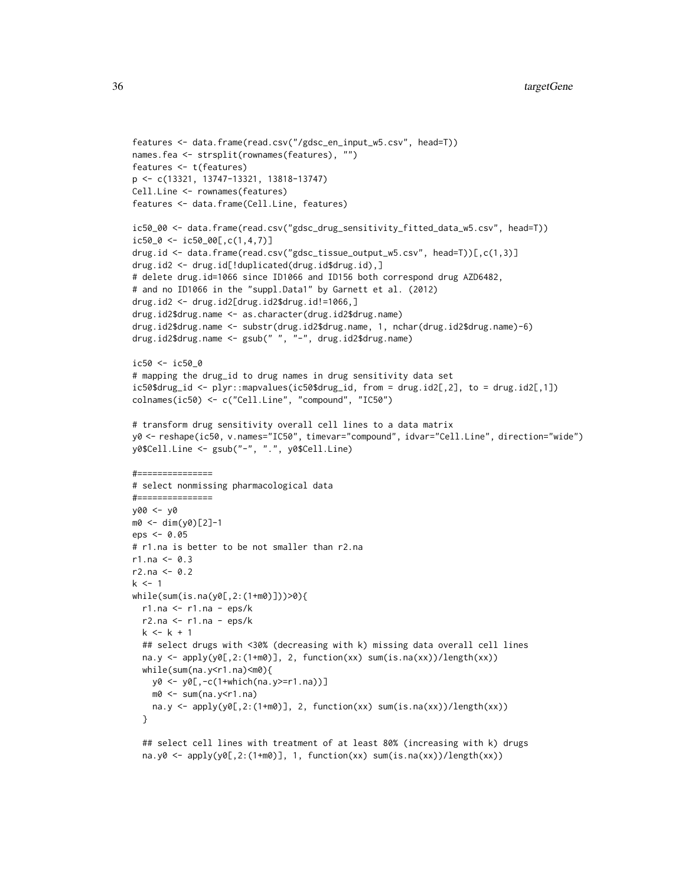```
features <- data.frame(read.csv("/gdsc_en_input_w5.csv", head=T))
names.fea <- strsplit(rownames(features), "")
features <- t(features)
p <- c(13321, 13747-13321, 13818-13747)
Cell.Line <- rownames(features)
features <- data.frame(Cell.Line, features)
ic50_00 <- data.frame(read.csv("gdsc_drug_sensitivity_fitted_data_w5.csv", head=T))
ic50_0 \leftarrow ic50_00[,c(1,4,7)]drug.id <- data.frame(read.csv("gdsc_tissue_output_w5.csv", head=T))[,c(1,3)]
drug.id2 <- drug.id[!duplicated(drug.id$drug.id),]
# delete drug.id=1066 since ID1066 and ID156 both correspond drug AZD6482,
# and no ID1066 in the "suppl.Data1" by Garnett et al. (2012)
drug.id2 <- drug.id2[drug.id2$drug.id!=1066,]
drug.id2$drug.name <- as.character(drug.id2$drug.name)
drug.id2$drug.name <- substr(drug.id2$drug.name, 1, nchar(drug.id2$drug.name)-6)
drug.id2$drug.name <- gsub(" ", "-", drug.id2$drug.name)
ic50 <- ic50_0
# mapping the drug_id to drug names in drug sensitivity data set
ic50$drug_id <- plyr::mapvalues(ic50$drug_id, from = drug.id2[,2], to = drug.id2[,1])
colnames(ic50) <- c("Cell.Line", "compound", "IC50")
# transform drug sensitivity overall cell lines to a data matrix
y0 <- reshape(ic50, v.names="IC50", timevar="compound", idvar="Cell.Line", direction="wide")
y0$Cell.Line <- gsub("-", ".", y0$Cell.Line)
#===# select nonmissing pharmacological data
\#=================
y00 <- y0
m0 <- dim(y0)[2]-1
eps <- 0.05
# r1.na is better to be not smaller than r2.na
r1.na < -0.3r2.na < -0.2k < -1while(sum(is.na(y0[,2:(1+m0)]))>0){
  r1.na <- r1.na - eps/k
  r2.na <- r1.na - eps/k
  k < -k + 1## select drugs with <30% (decreasing with k) missing data overall cell lines
  na.y \leq apply(y0[,2:(1+m0)], 2, function(xx) sum(is.na(xx))/length(xx))
  while(sum(na.y<r1.na)<m0){
   y0 <- y0[,-c(1+which(na.y>=r1.na))]
   m0 \le -\text{sum}(na.y \le r1.na)na.y <- apply(y0[,2:(1+m0)], 2, function(xx) sum(is.na(xx))/length(xx))
  }
```
## select cell lines with treatment of at least 80% (increasing with k) drugs na.y0 <-  $apply(y0[,2:(1+m0)], 1, function(xx) sum(is.na(xx))/length(xx))$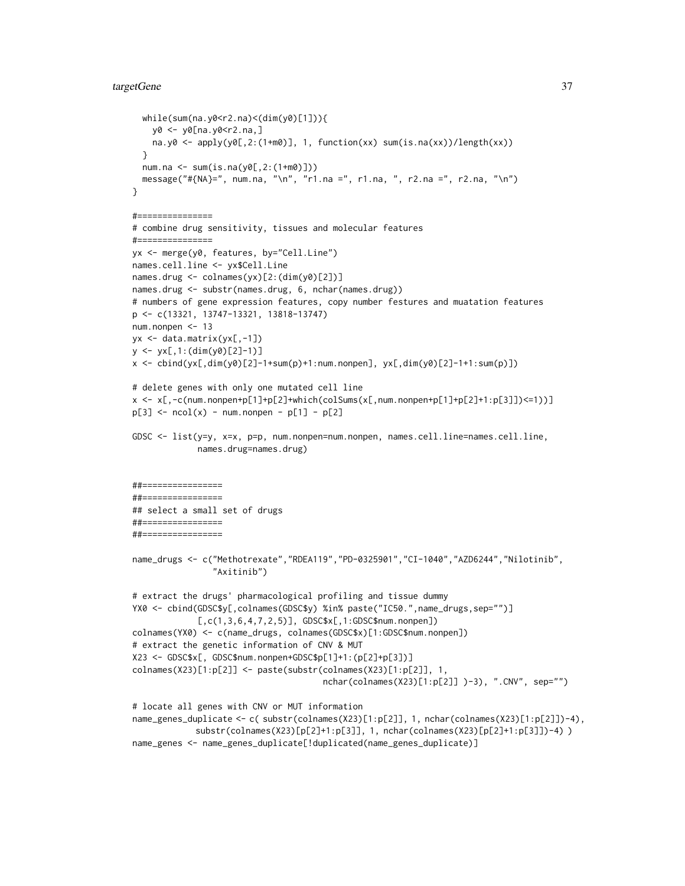#### targetGene 37

```
while(sum(na.y0<r2.na)<(dim(y0)[1])){
   y0 <- y0[na.y0<r2.na,]
   na.y0 <- apply(y0[,2:(1+m0)], 1, function(xx) sum(is.na(xx))/length(xx))}
  num.na <- sum(is.na(y0[,2:(1+m0)]))
  message("#{NA}=", num.na, "\n", "r1.na =", r1.na, ", r2.na =", r2.na, "\n")
}
#===============
# combine drug sensitivity, tissues and molecular features
#===============
yx <- merge(y0, features, by="Cell.Line")
names.cell.line <- yx$Cell.Line
names.drug <- colnames(yx)[2:(dim(y0)[2])]
names.drug <- substr(names.drug, 6, nchar(names.drug))
# numbers of gene expression features, copy number festures and muatation features
p <- c(13321, 13747-13321, 13818-13747)
num.nonpen <- 13
yx <- data.matrix(yx[,-1])
y <- yx[,1:(dim(y0)[2]-1)]
x <- cbind(yx[,dim(y0)[2]-1+sum(p)+1:num.nonpen], yx[,dim(y0)[2]-1+1:sum(p)])
# delete genes with only one mutated cell line
x \le x[,-c(num.nonpen+p[1]+p[2]+which(colSums(x[,num.nonpen+p[1]+p[2]+1:p[3]])<=1))]
p[3] <- ncol(x) - num.nonpen - p[1] - p[2]GDSC <- list(y=y, x=x, p=p, num.nonpen=num.nonpen, names.cell.line=names.cell.line,
             names.drug=names.drug)
##================
##================
## select a small set of drugs
##================
##================
name_drugs <- c("Methotrexate","RDEA119","PD-0325901","CI-1040","AZD6244","Nilotinib",
                "Axitinib")
# extract the drugs' pharmacological profiling and tissue dummy
YX0 <- cbind(GDSC$y[,colnames(GDSC$y) %in% paste("IC50.",name_drugs,sep="")]
             [,c(1,3,6,4,7,2,5)], GDSC$x[, 1: GDSC$num.nonpen])colnames(YX0) <- c(name_drugs, colnames(GDSC$x)[1:GDSC$num.nonpen])
# extract the genetic information of CNV & MUT
X23 <- GDSC$x[, GDSC$num.nonpen+GDSC$p[1]+1:(p[2]+p[3])]
colnames(X23)[1:p[2]] <- paste(substr(colnames(X23)[1:p[2]], 1,
                                      nchar(colnames(X23)[1:p[2]] )-3), ".CNV", sep="")
# locate all genes with CNV or MUT information
name_genes_duplicate <- c( substr(colnames(X23)[1:p[2]], 1, nchar(colnames(X23)[1:p[2]])-4),
            substr(colnames(X23)[p[2]+1:p[3]], 1, nchar(colnames(X23)[p[2]+1:p[3]])-4) )
```
name\_genes <- name\_genes\_duplicate[!duplicated(name\_genes\_duplicate)]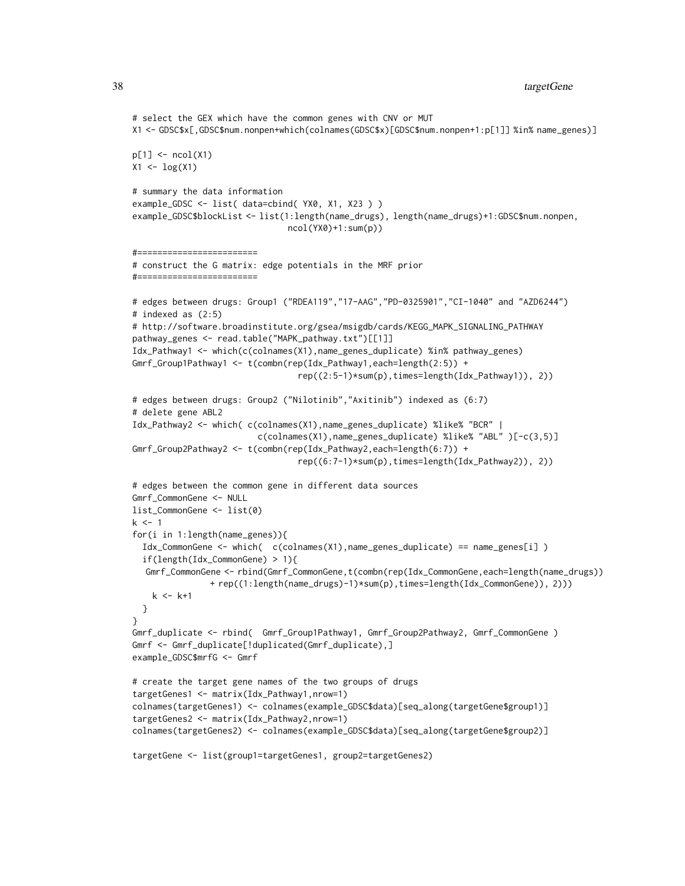```
# select the GEX which have the common genes with CNV or MUT
X1 <- GDSC$x[,GDSC$num.nonpen+which(colnames(GDSC$x)[GDSC$num.nonpen+1:p[1]] %in% name_genes)]
p[1] <- ncol(X1)X1 \leftarrow \log(X1)# summary the data information
example_GDSC <- list( data=cbind( YX0, X1, X23 ) )
example_GDSC$blockList <- list(1:length(name_drugs), length(name_drugs)+1:GDSC$num.nonpen,
                               ncol(YX0)+1:sum(p))
#========================
# construct the G matrix: edge potentials in the MRF prior
#========================
# edges between drugs: Group1 ("RDEA119","17-AAG","PD-0325901","CI-1040" and "AZD6244")
# indexed as (2:5)
# http://software.broadinstitute.org/gsea/msigdb/cards/KEGG_MAPK_SIGNALING_PATHWAY
pathway_genes <- read.table("MAPK_pathway.txt")[[1]]
Idx_Pathway1 <- which(c(colnames(X1),name_genes_duplicate) %in% pathway_genes)
Gmrf_Group1Pathway1 <- t(combn(rep(Idx_Pathway1,each=length(2:5)) +
                                 rep((2:5-1)*sum(p),times=length(Idx_Pathway1)), 2))
# edges between drugs: Group2 ("Nilotinib","Axitinib") indexed as (6:7)
# delete gene ABL2
Idx_Pathway2 <- which( c(colnames(X1),name_genes_duplicate) %like% "BCR" |
                         c(colnames(X1),name_genes_duplicate) %like% "ABL" )[-c(3,5)]
Gmrf_Group2Pathway2 <- t(combn(rep(Idx_Pathway2,each=length(6:7)) +
                                 rep((6:7-1)*sum(p),times=length(Idx_Pathway2)), 2))
# edges between the common gene in different data sources
Gmrf_CommonGene <- NULL
list_CommonGene <- list(0)
k < -1for(i in 1:length(name_genes)){
  Idx_CommonGene <- which( c(colnames(X1),name_genes_duplicate) == name_genes[i] )
  if(length(Idx_CommonGene) > 1){
  Gmrf_CommonGene <- rbind(Gmrf_CommonGene,t(combn(rep(Idx_CommonGene,each=length(name_drugs))
               + rep((1:length(name_drugs)-1)*sum(p),times=length(Idx_CommonGene)), 2)))
    k < - k+1}
}
Gmrf_duplicate <- rbind( Gmrf_Group1Pathway1, Gmrf_Group2Pathway2, Gmrf_CommonGene )
Gmrf <- Gmrf_duplicate[!duplicated(Gmrf_duplicate),]
example_GDSC$mrfG <- Gmrf
# create the target gene names of the two groups of drugs
targetGenes1 <- matrix(Idx_Pathway1,nrow=1)
colnames(targetGenes1) <- colnames(example_GDSC$data)[seq_along(targetGene$group1)]
targetGenes2 <- matrix(Idx_Pathway2,nrow=1)
colnames(targetGenes2) <- colnames(example_GDSC$data)[seq_along(targetGene$group2)]
```

```
targetGene <- list(group1=targetGenes1, group2=targetGenes2)
```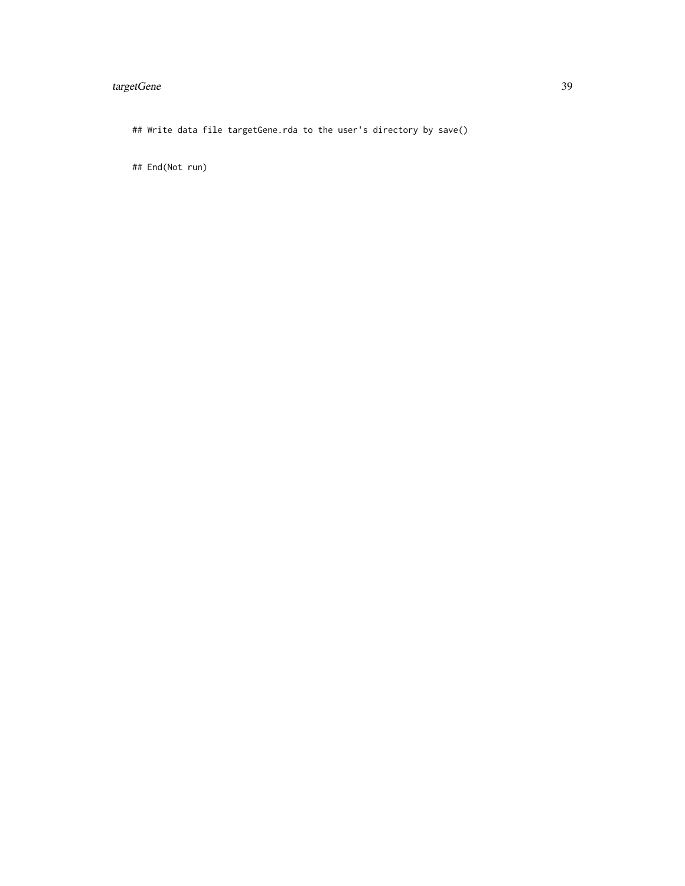# targetGene 39

## Write data file targetGene.rda to the user's directory by save()

## End(Not run)